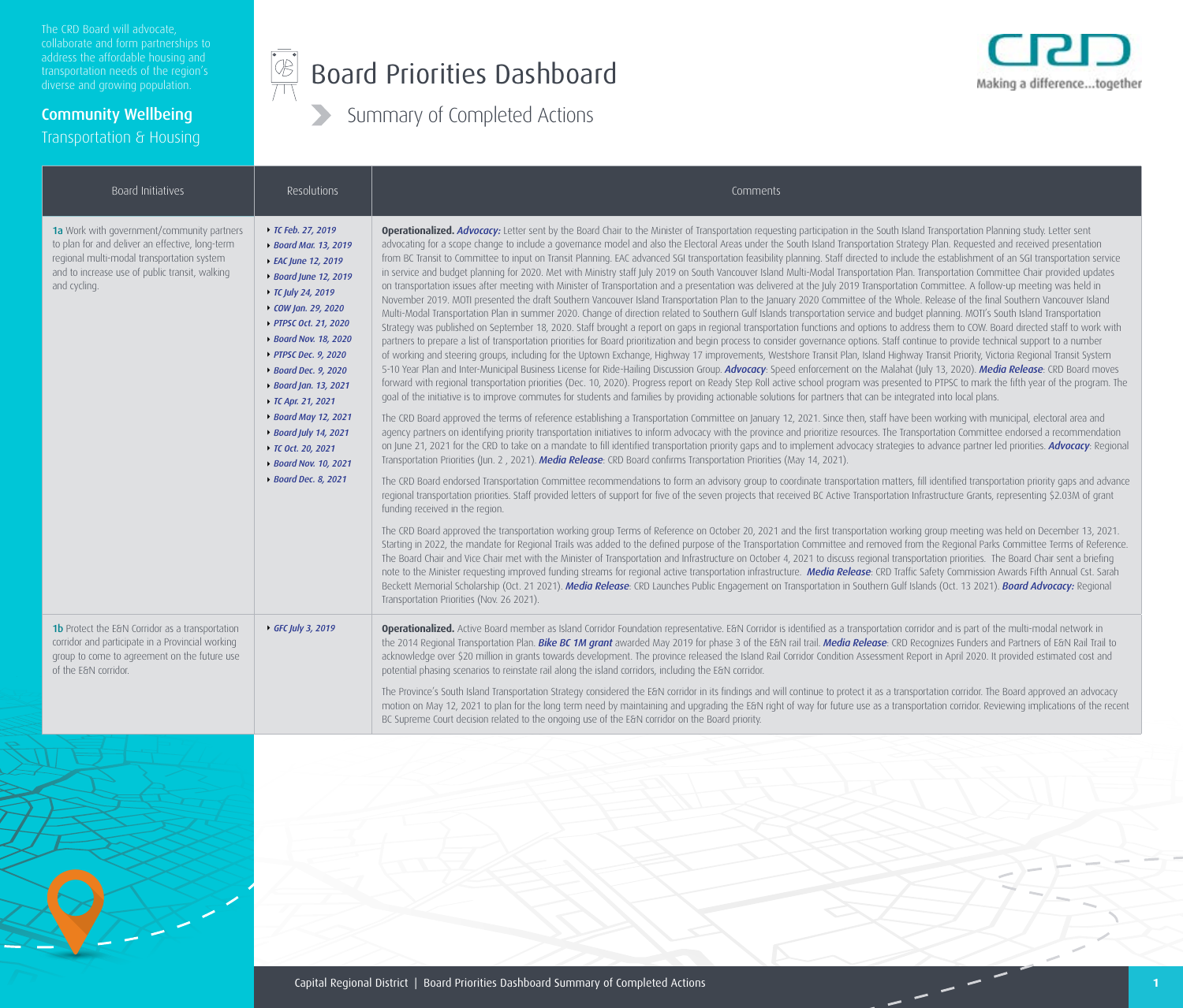Community Wellbeing

Transportation & Housing

#### $\begin{picture}(42,10) \put(0,0){\line(1,0){10}} \put(15,0){\line(1,0){10}} \put(15,0){\line(1,0){10}} \put(15,0){\line(1,0){10}} \put(15,0){\line(1,0){10}} \put(15,0){\line(1,0){10}} \put(15,0){\line(1,0){10}} \put(15,0){\line(1,0){10}} \put(15,0){\line(1,0){10}} \put(15,0){\line(1,0){10}} \put(15,0){\line(1,0){10}} \put(15,0){\line(1$ Board Priorities Dashboard



| Board Initiatives                                                                                                                                                                                             | Resolutions                                                                                                                                                                                                                                                                                                                                                                  | Comments                                                                                                                                                                                                                                                                                                                                                                                                                                                                                                                                                                                                                                                                                                                                                                                                                                                                                                                                                                                                                                                                                                                                                                                                                                                                                                                                                                                                                                                                                                                                                                                                                                                                                                                                                                                                                                                                                                                                                                                                                                                                                                                                                                                                                                                                                                                                                                                                                                                                                                                                                                                                                                                                                                                                                                                                                                                                                                                                                                                                                                                                                                                                                                               |
|---------------------------------------------------------------------------------------------------------------------------------------------------------------------------------------------------------------|------------------------------------------------------------------------------------------------------------------------------------------------------------------------------------------------------------------------------------------------------------------------------------------------------------------------------------------------------------------------------|----------------------------------------------------------------------------------------------------------------------------------------------------------------------------------------------------------------------------------------------------------------------------------------------------------------------------------------------------------------------------------------------------------------------------------------------------------------------------------------------------------------------------------------------------------------------------------------------------------------------------------------------------------------------------------------------------------------------------------------------------------------------------------------------------------------------------------------------------------------------------------------------------------------------------------------------------------------------------------------------------------------------------------------------------------------------------------------------------------------------------------------------------------------------------------------------------------------------------------------------------------------------------------------------------------------------------------------------------------------------------------------------------------------------------------------------------------------------------------------------------------------------------------------------------------------------------------------------------------------------------------------------------------------------------------------------------------------------------------------------------------------------------------------------------------------------------------------------------------------------------------------------------------------------------------------------------------------------------------------------------------------------------------------------------------------------------------------------------------------------------------------------------------------------------------------------------------------------------------------------------------------------------------------------------------------------------------------------------------------------------------------------------------------------------------------------------------------------------------------------------------------------------------------------------------------------------------------------------------------------------------------------------------------------------------------------------------------------------------------------------------------------------------------------------------------------------------------------------------------------------------------------------------------------------------------------------------------------------------------------------------------------------------------------------------------------------------------------------------------------------------------------------------------------------------------|
| 1a Work with government/community partners<br>to plan for and deliver an effective, long-term<br>regional multi-modal transportation system<br>and to increase use of public transit, walking<br>and cycling. | ▶ TC Feb. 27, 2019<br>▶ Board Mar. 13, 2019<br>▶ EAC June 12, 2019<br>▶ Board June 12, 2019<br>▶ TC July 24, 2019<br>$\rightarrow$ COW Jan. 29, 2020<br>▶ PTPSC Oct. 21, 2020<br>▶ Board Nov. 18, 2020<br>▶ PTPSC Dec. 9, 2020<br>▶ Board Dec. 9, 2020<br>▶ Board Jan. 13, 2021<br>↑ TC Apr. 21, 2021<br>▶ Board May 12, 2021<br>▶ Board July 14, 2021<br>▶ TC Oct. 20, 2021 | Operationalized. Advocacy: Letter sent by the Board Chair to the Minister of Transportation requesting participation in the South Island Transportation Planning study. Letter sent<br>advocating for a scope change to include a governance model and also the Electoral Areas under the South Island Transportation Strategy Plan. Requested and received presentation<br>from BC Transit to Committee to input on Transit Planning. EAC advanced SGI transportation feasibility planning. Staff directed to include the establishment of an SGI transportation service<br>in service and budget planning for 2020. Met with Ministry staff July 2019 on South Vancouver Island Multi-Modal Transportation Plan. Transportation Committee Chair provided updates<br>on transportation issues after meeting with Minister of Transportation and a presentation was delivered at the July 2019 Transportation Committee. A follow-up meeting was held in<br>November 2019. MOTI presented the draft Southern Vancouver Island Transportation Plan to the January 2020 Committee of the Whole. Release of the final Southern Vancouver Island<br>Multi-Modal Transportation Plan in summer 2020. Change of direction related to Southern Gulf Islands transportation service and budget planning. MOTI's South Island Transportation<br>Strategy was published on September 18, 2020. Staff brought a report on gaps in regional transportation functions and options to address them to COW. Board directed staff to work with<br>partners to prepare a list of transportation priorities for Board prioritization and begin process to consider governance options. Staff continue to provide technical support to a number<br>of working and steering groups, including for the Uptown Exchange, Highway 17 improvements, Westshore Transit Plan, Island Highway Transit Priority, Victoria Regional Transit System<br>5-10 Year Plan and Inter-Municipal Business License for Ride-Hailing Discussion Group. Advocacy: Speed enforcement on the Malahat (July 13, 2020). Media Release: CRD Board moves<br>forward with regional transportation priorities (Dec. 10, 2020). Progress report on Ready Step Roll active school program was presented to PTPSC to mark the fifth year of the program. The<br>goal of the initiative is to improve commutes for students and families by providing actionable solutions for partners that can be integrated into local plans.<br>The CRD Board approved the terms of reference establishing a Transportation Committee on January 12, 2021. Since then, staff have been working with municipal, electoral area and<br>agency partners on identifying priority transportation initiatives to inform advocacy with the province and prioritize resources. The Transportation Committee endorsed a recommendation<br>on June 21, 2021 for the CRD to take on a mandate to fill identified transportation priority gaps and to implement advocacy strategies to advance partner led priorities. Advocacy: Regional<br>Transportation Priorities (Jun. 2, 2021). Media Release: CRD Board confirms Transportation Priorities (May 14, 2021). |
|                                                                                                                                                                                                               | ▶ Board Nov. 10, 2021<br>▶ Board Dec. 8, 2021                                                                                                                                                                                                                                                                                                                                | The CRD Board endorsed Transportation Committee recommendations to form an advisory group to coordinate transportation matters, fill identified transportation priority gaps and advance<br>regional transportation priorities. Staff provided letters of support for five of the seven projects that received BC Active Transportation Infrastructure Grants, representing \$2.03M of grant<br>funding received in the region.<br>The CRD Board approved the transportation working group Terms of Reference on October 20, 2021 and the first transportation working group meeting was held on December 13, 2021.<br>Starting in 2022, the mandate for Regional Trails was added to the defined purpose of the Transportation Committee and removed from the Regional Parks Committee Terms of Reference.<br>The Board Chair and Vice Chair met with the Minister of Transportation and Infrastructure on October 4, 2021 to discuss regional transportation priorities. The Board Chair sent a briefing<br>note to the Minister requesting improved funding streams for regional active transportation infrastructure. Media Release: CRD Traffic Safety Commission Awards Fifth Annual Cst. Sarah<br>Beckett Memorial Scholarship (Oct. 21 2021). Media Release: CRD Launches Public Engagement on Transportation in Southern Gulf Islands (Oct. 13 2021). Board Advocacy: Regional<br>Transportation Priorities (Nov. 26 2021).                                                                                                                                                                                                                                                                                                                                                                                                                                                                                                                                                                                                                                                                                                                                                                                                                                                                                                                                                                                                                                                                                                                                                                                                                                                                                                                                                                                                                                                                                                                                                                                                                                                                                                                                                   |
| <b>1b</b> Protect the E&N Corridor as a transportation<br>corridor and participate in a Provincial working<br>group to come to agreement on the future use<br>of the E&N corridor.                            | ▶ GFC July 3, 2019                                                                                                                                                                                                                                                                                                                                                           | Operationalized. Active Board member as Island Corridor Foundation representative. E&N Corridor is identified as a transportation corridor and is part of the multi-modal network in<br>the 2014 Regional Transportation Plan. Bike BC 1M grant awarded May 2019 for phase 3 of the E&N rail trail. Media Release: CRD Recognizes Funders and Partners of E&N Rail Trail to<br>acknowledge over \$20 million in grants towards development. The province released the Island Rail Corridor Condition Assessment Report in April 2020. It provided estimated cost and<br>potential phasing scenarios to reinstate rail along the island corridors, including the E&N corridor.                                                                                                                                                                                                                                                                                                                                                                                                                                                                                                                                                                                                                                                                                                                                                                                                                                                                                                                                                                                                                                                                                                                                                                                                                                                                                                                                                                                                                                                                                                                                                                                                                                                                                                                                                                                                                                                                                                                                                                                                                                                                                                                                                                                                                                                                                                                                                                                                                                                                                                          |
|                                                                                                                                                                                                               |                                                                                                                                                                                                                                                                                                                                                                              | The Province's South Island Transportation Strategy considered the E&N corridor in its findings and will continue to protect it as a transportation corridor. The Board approved an advocacy<br>motion on May 12, 2021 to plan for the long term need by maintaining and upgrading the E&N right of way for future use as a transportation corridor. Reviewing implications of the recent<br>BC Supreme Court decision related to the ongoing use of the E&N corridor on the Board priority.                                                                                                                                                                                                                                                                                                                                                                                                                                                                                                                                                                                                                                                                                                                                                                                                                                                                                                                                                                                                                                                                                                                                                                                                                                                                                                                                                                                                                                                                                                                                                                                                                                                                                                                                                                                                                                                                                                                                                                                                                                                                                                                                                                                                                                                                                                                                                                                                                                                                                                                                                                                                                                                                                           |

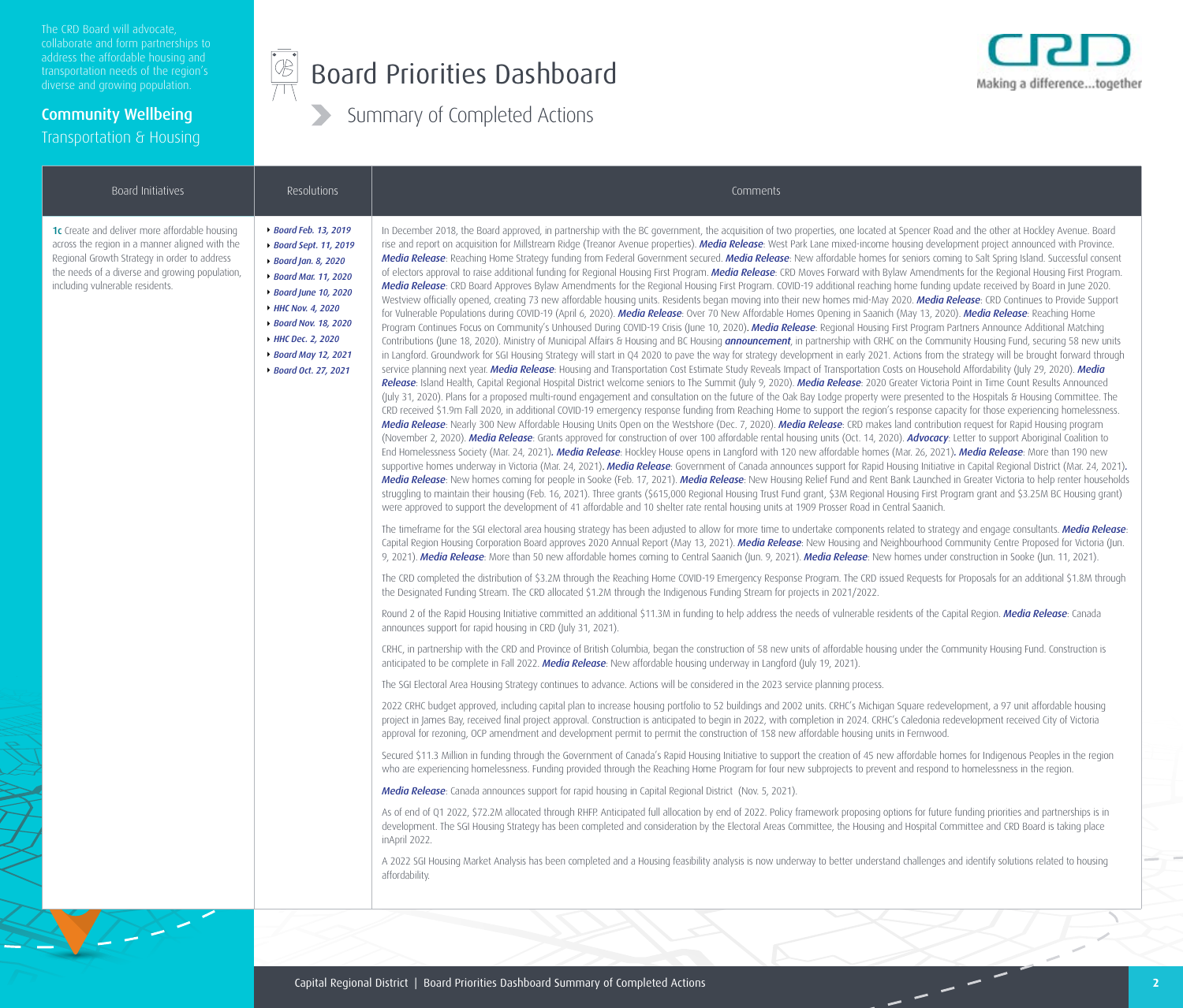The CRD Board will advocate, address the affordable housing and diverse and growing population.

Community Wellbeing

Transportation & Housing

#### $\begin{picture}(45,17) \put(0,0){\line(1,0){155}} \put(15,0){\line(1,0){155}} \put(15,0){\line(1,0){155}} \put(15,0){\line(1,0){155}} \put(15,0){\line(1,0){155}} \put(15,0){\line(1,0){155}} \put(15,0){\line(1,0){155}} \put(15,0){\line(1,0){155}} \put(15,0){\line(1,0){155}} \put(15,0){\line(1,0){155}} \put(15,0){\line(1,0){155}} \$ Board Priorities Dashboard



| Board Initiatives                                                                                                                                                                                                                    | Resolutions                                                                                                                                                                                                                                 | Comments                                                                                                                                                                                                                                                                                                                                                                                                                                                                                                                                                                                                                                                                                                                                                                                                                                                                                                                                                                                                                                                                                                                                                                                                                                                                                                                                                                                                                                                                                                                                                                                                                                                                                                                                                                                                                                                                                                                                                                                                                                                                                                                                                                                                                                                                                                                                                                                                                                                                                                                                                                                                                                                                                                                                                                                                                                                                                                                                                                                                                                                                                                                                                                                                                                                                                                                                                                                                                                                                                                                                                                                                                                                                                                                                                                                                                                                                                          |
|--------------------------------------------------------------------------------------------------------------------------------------------------------------------------------------------------------------------------------------|---------------------------------------------------------------------------------------------------------------------------------------------------------------------------------------------------------------------------------------------|---------------------------------------------------------------------------------------------------------------------------------------------------------------------------------------------------------------------------------------------------------------------------------------------------------------------------------------------------------------------------------------------------------------------------------------------------------------------------------------------------------------------------------------------------------------------------------------------------------------------------------------------------------------------------------------------------------------------------------------------------------------------------------------------------------------------------------------------------------------------------------------------------------------------------------------------------------------------------------------------------------------------------------------------------------------------------------------------------------------------------------------------------------------------------------------------------------------------------------------------------------------------------------------------------------------------------------------------------------------------------------------------------------------------------------------------------------------------------------------------------------------------------------------------------------------------------------------------------------------------------------------------------------------------------------------------------------------------------------------------------------------------------------------------------------------------------------------------------------------------------------------------------------------------------------------------------------------------------------------------------------------------------------------------------------------------------------------------------------------------------------------------------------------------------------------------------------------------------------------------------------------------------------------------------------------------------------------------------------------------------------------------------------------------------------------------------------------------------------------------------------------------------------------------------------------------------------------------------------------------------------------------------------------------------------------------------------------------------------------------------------------------------------------------------------------------------------------------------------------------------------------------------------------------------------------------------------------------------------------------------------------------------------------------------------------------------------------------------------------------------------------------------------------------------------------------------------------------------------------------------------------------------------------------------------------------------------------------------------------------------------------------------------------------------------------------------------------------------------------------------------------------------------------------------------------------------------------------------------------------------------------------------------------------------------------------------------------------------------------------------------------------------------------------------------------------------------------------------------------------------------------------------|
| 1c Create and deliver more affordable housing<br>across the region in a manner aligned with the<br>Regional Growth Strategy in order to address<br>the needs of a diverse and growing population,<br>including vulnerable residents. | ▶ Board Feb. 13, 2019<br>▶ Board Sept. 11, 2019<br>▶ Board Jan. 8, 2020<br>▶ Board Mar. 11, 2020<br>▶ Board June 10, 2020<br>HHC Nov. 4, 2020<br>▶ Board Nov. 18, 2020<br>HHC Dec. 2, 2020<br>▶ Board May 12, 2021<br>▶ Board Oct. 27, 2021 | In December 2018, the Board approved, in partnership with the BC government, the acquisition of two properties, one located at Spencer Road and the other at Hockley Avenue. Board<br>rise and report on acquisition for Millstream Ridge (Treanor Avenue properties). Media Release: West Park Lane mixed-income housing development project announced with Province.<br>Media Release: Reaching Home Strategy funding from Federal Government secured. Media Release: New affordable homes for seniors coming to Salt Spring Island. Successful consent<br>of electors approval to raise additional funding for Regional Housing First Program. Media Release: CRD Moves Forward with Bylaw Amendments for the Regional Housing First Program.<br>Media Release: CRD Board Approves Bylaw Amendments for the Regional Housing First Program. COVID-19 additional reaching home funding update received by Board in June 2020.<br>Westview officially opened, creating 73 new affordable housing units. Residents began moving into their new homes mid-May 2020. Media Release: CRD Continues to Provide Support<br>for Vulnerable Populations during COVID-19 (April 6, 2020). Media Release: Over 70 New Affordable Homes Opening in Saanich (May 13, 2020). Media Release: Reaching Home<br>Program Continues Focus on Community's Unhoused During COVID-19 Crisis (June 10, 2020). Media Release: Regional Housing First Program Partners Announce Additional Matching<br>Contributions (June 18, 2020). Ministry of Municipal Affairs & Housing and BC Housing announcement, in partnership with CRHC on the Community Housing Fund, securing 58 new units<br>in Langford. Groundwork for SGI Housing Strategy will start in Q4 2020 to pave the way for strategy development in early 2021. Actions from the strategy will be brought forward through<br>service planning next year. Media Release: Housing and Transportation Cost Estimate Study Reveals Impact of Transportation Costs on Household Affordability (July 29, 2020). Media<br>Release: Island Health, Capital Regional Hospital District welcome seniors to The Summit (July 9, 2020). Media Release: 2020 Greater Victoria Point in Time Count Results Announced<br>(July 31, 2020). Plans for a proposed multi-round engagement and consultation on the future of the Oak Bay Lodge property were presented to the Hospitals & Housing Committee. The<br>CRD received \$1.9m Fall 2020, in additional COVID-19 emergency response funding from Reaching Home to support the region's response capacity for those experiencing homelessness.<br>Media Release: Nearly 300 New Affordable Housing Units Open on the Westshore (Dec. 7, 2020). Media Release: CRD makes land contribution request for Rapid Housing program<br>(November 2, 2020). Media Release: Grants approved for construction of over 100 affordable rental housing units (Oct. 14, 2020). Advocacy: Letter to support Aboriginal Coalition to<br>End Homelessness Society (Mar. 24, 2021). Media Release: Hockley House opens in Langford with 120 new affordable homes (Mar. 26, 2021). Media Release: More than 190 new<br>supportive homes underway in Victoria (Mar. 24, 2021). Media Release: Government of Canada announces support for Rapid Housing Initiative in Capital Regional District (Mar. 24, 2021).<br>Media Release: New homes coming for people in Sooke (Feb. 17, 2021). Media Release: New Housing Relief Fund and Rent Bank Launched in Greater Victoria to help renter households<br>struggling to maintain their housing (Feb. 16, 2021). Three grants (\$615,000 Regional Housing Trust Fund grant, \$3M Regional Housing First Program grant and \$3.25M BC Housing grant)<br>were approved to support the development of 41 affordable and 10 shelter rate rental housing units at 1909 Prosser Road in Central Saanich. |
|                                                                                                                                                                                                                                      |                                                                                                                                                                                                                                             | The timeframe for the SGI electoral area housing strategy has been adjusted to allow for more time to undertake components related to strategy and engage consultants. Media Release:<br>Capital Region Housing Corporation Board approves 2020 Annual Report (May 13, 2021). Media Release: New Housing and Neighbourhood Community Centre Proposed for Victoria (Jun.<br>9, 2021). Media Release: More than 50 new affordable homes coming to Central Saanich (Jun. 9, 2021). Media Release: New homes under construction in Sooke (Jun. 11, 2021).                                                                                                                                                                                                                                                                                                                                                                                                                                                                                                                                                                                                                                                                                                                                                                                                                                                                                                                                                                                                                                                                                                                                                                                                                                                                                                                                                                                                                                                                                                                                                                                                                                                                                                                                                                                                                                                                                                                                                                                                                                                                                                                                                                                                                                                                                                                                                                                                                                                                                                                                                                                                                                                                                                                                                                                                                                                                                                                                                                                                                                                                                                                                                                                                                                                                                                                                             |
|                                                                                                                                                                                                                                      |                                                                                                                                                                                                                                             | The CRD completed the distribution of \$3.2M through the Reaching Home COVID-19 Emergency Response Program. The CRD issued Requests for Proposals for an additional \$1.8M through<br>the Designated Funding Stream. The CRD allocated \$1.2M through the Indigenous Funding Stream for projects in 2021/2022.                                                                                                                                                                                                                                                                                                                                                                                                                                                                                                                                                                                                                                                                                                                                                                                                                                                                                                                                                                                                                                                                                                                                                                                                                                                                                                                                                                                                                                                                                                                                                                                                                                                                                                                                                                                                                                                                                                                                                                                                                                                                                                                                                                                                                                                                                                                                                                                                                                                                                                                                                                                                                                                                                                                                                                                                                                                                                                                                                                                                                                                                                                                                                                                                                                                                                                                                                                                                                                                                                                                                                                                    |
|                                                                                                                                                                                                                                      |                                                                                                                                                                                                                                             | Round 2 of the Rapid Housing Initiative committed an additional \$11.3M in funding to help address the needs of vulnerable residents of the Capital Region. Media Release: Canada<br>announces support for rapid housing in CRD (July 31, 2021).                                                                                                                                                                                                                                                                                                                                                                                                                                                                                                                                                                                                                                                                                                                                                                                                                                                                                                                                                                                                                                                                                                                                                                                                                                                                                                                                                                                                                                                                                                                                                                                                                                                                                                                                                                                                                                                                                                                                                                                                                                                                                                                                                                                                                                                                                                                                                                                                                                                                                                                                                                                                                                                                                                                                                                                                                                                                                                                                                                                                                                                                                                                                                                                                                                                                                                                                                                                                                                                                                                                                                                                                                                                  |
|                                                                                                                                                                                                                                      |                                                                                                                                                                                                                                             | CRHC, in partnership with the CRD and Province of British Columbia, began the construction of 58 new units of affordable housing under the Community Housing Fund. Construction is<br>anticipated to be complete in Fall 2022. Media Release: New affordable housing underway in Langford (July 19, 2021).                                                                                                                                                                                                                                                                                                                                                                                                                                                                                                                                                                                                                                                                                                                                                                                                                                                                                                                                                                                                                                                                                                                                                                                                                                                                                                                                                                                                                                                                                                                                                                                                                                                                                                                                                                                                                                                                                                                                                                                                                                                                                                                                                                                                                                                                                                                                                                                                                                                                                                                                                                                                                                                                                                                                                                                                                                                                                                                                                                                                                                                                                                                                                                                                                                                                                                                                                                                                                                                                                                                                                                                        |
|                                                                                                                                                                                                                                      |                                                                                                                                                                                                                                             | The SGI Electoral Area Housing Strategy continues to advance. Actions will be considered in the 2023 service planning process.                                                                                                                                                                                                                                                                                                                                                                                                                                                                                                                                                                                                                                                                                                                                                                                                                                                                                                                                                                                                                                                                                                                                                                                                                                                                                                                                                                                                                                                                                                                                                                                                                                                                                                                                                                                                                                                                                                                                                                                                                                                                                                                                                                                                                                                                                                                                                                                                                                                                                                                                                                                                                                                                                                                                                                                                                                                                                                                                                                                                                                                                                                                                                                                                                                                                                                                                                                                                                                                                                                                                                                                                                                                                                                                                                                    |
|                                                                                                                                                                                                                                      |                                                                                                                                                                                                                                             | 2022 CRHC budget approved, including capital plan to increase housing portfolio to 52 buildings and 2002 units. CRHC's Michigan Square redevelopment, a 97 unit affordable housing<br>project in James Bay, received final project approval. Construction is anticipated to begin in 2022, with completion in 2024. CRHC's Caledonia redevelopment received City of Victoria<br>approval for rezoning, OCP amendment and development permit to permit the construction of 158 new affordable housing units in Fernwood.                                                                                                                                                                                                                                                                                                                                                                                                                                                                                                                                                                                                                                                                                                                                                                                                                                                                                                                                                                                                                                                                                                                                                                                                                                                                                                                                                                                                                                                                                                                                                                                                                                                                                                                                                                                                                                                                                                                                                                                                                                                                                                                                                                                                                                                                                                                                                                                                                                                                                                                                                                                                                                                                                                                                                                                                                                                                                                                                                                                                                                                                                                                                                                                                                                                                                                                                                                           |
|                                                                                                                                                                                                                                      |                                                                                                                                                                                                                                             | Secured \$11.3 Million in funding through the Government of Canada's Rapid Housing Initiative to support the creation of 45 new affordable homes for Indigenous Peoples in the region<br>who are experiencing homelessness. Funding provided through the Reaching Home Program for four new subprojects to prevent and respond to homelessness in the region.                                                                                                                                                                                                                                                                                                                                                                                                                                                                                                                                                                                                                                                                                                                                                                                                                                                                                                                                                                                                                                                                                                                                                                                                                                                                                                                                                                                                                                                                                                                                                                                                                                                                                                                                                                                                                                                                                                                                                                                                                                                                                                                                                                                                                                                                                                                                                                                                                                                                                                                                                                                                                                                                                                                                                                                                                                                                                                                                                                                                                                                                                                                                                                                                                                                                                                                                                                                                                                                                                                                                     |
|                                                                                                                                                                                                                                      |                                                                                                                                                                                                                                             | Media Release: Canada announces support for rapid housing in Capital Regional District (Nov. 5, 2021).                                                                                                                                                                                                                                                                                                                                                                                                                                                                                                                                                                                                                                                                                                                                                                                                                                                                                                                                                                                                                                                                                                                                                                                                                                                                                                                                                                                                                                                                                                                                                                                                                                                                                                                                                                                                                                                                                                                                                                                                                                                                                                                                                                                                                                                                                                                                                                                                                                                                                                                                                                                                                                                                                                                                                                                                                                                                                                                                                                                                                                                                                                                                                                                                                                                                                                                                                                                                                                                                                                                                                                                                                                                                                                                                                                                            |
|                                                                                                                                                                                                                                      |                                                                                                                                                                                                                                             | As of end of Q1 2022, \$72.2M allocated through RHFP. Anticipated full allocation by end of 2022. Policy framework proposing options for future funding priorities and partnerships is in<br>development. The SGI Housing Strategy has been completed and consideration by the Electoral Areas Committee, the Housing and Hospital Committee and CRD Board is taking place<br>inApril 2022.                                                                                                                                                                                                                                                                                                                                                                                                                                                                                                                                                                                                                                                                                                                                                                                                                                                                                                                                                                                                                                                                                                                                                                                                                                                                                                                                                                                                                                                                                                                                                                                                                                                                                                                                                                                                                                                                                                                                                                                                                                                                                                                                                                                                                                                                                                                                                                                                                                                                                                                                                                                                                                                                                                                                                                                                                                                                                                                                                                                                                                                                                                                                                                                                                                                                                                                                                                                                                                                                                                       |
|                                                                                                                                                                                                                                      |                                                                                                                                                                                                                                             | A 2022 SGI Housing Market Analysis has been completed and a Housing feasibility analysis is now underway to better understand challenges and identify solutions related to housing<br>affordability.                                                                                                                                                                                                                                                                                                                                                                                                                                                                                                                                                                                                                                                                                                                                                                                                                                                                                                                                                                                                                                                                                                                                                                                                                                                                                                                                                                                                                                                                                                                                                                                                                                                                                                                                                                                                                                                                                                                                                                                                                                                                                                                                                                                                                                                                                                                                                                                                                                                                                                                                                                                                                                                                                                                                                                                                                                                                                                                                                                                                                                                                                                                                                                                                                                                                                                                                                                                                                                                                                                                                                                                                                                                                                              |
|                                                                                                                                                                                                                                      |                                                                                                                                                                                                                                             |                                                                                                                                                                                                                                                                                                                                                                                                                                                                                                                                                                                                                                                                                                                                                                                                                                                                                                                                                                                                                                                                                                                                                                                                                                                                                                                                                                                                                                                                                                                                                                                                                                                                                                                                                                                                                                                                                                                                                                                                                                                                                                                                                                                                                                                                                                                                                                                                                                                                                                                                                                                                                                                                                                                                                                                                                                                                                                                                                                                                                                                                                                                                                                                                                                                                                                                                                                                                                                                                                                                                                                                                                                                                                                                                                                                                                                                                                                   |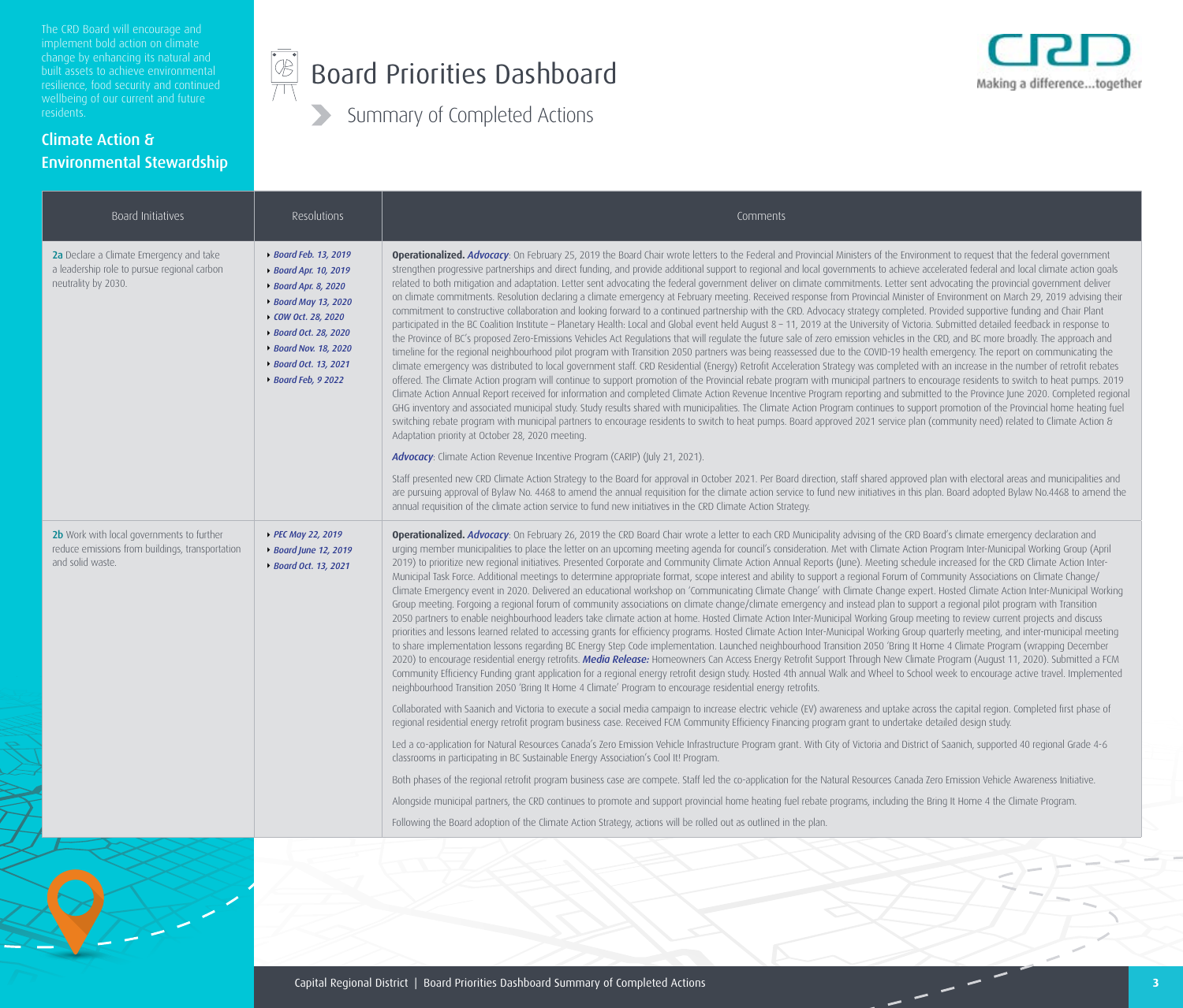The CRD Board will encourage and built assets to achieve environmental

#### Climate Action & Environmental Stewardship

#### $\begin{picture}(42,10) \put(0,0){\line(1,0){155}} \put(15,0){\line(1,0){155}} \put(15,0){\line(1,0){155}} \put(15,0){\line(1,0){155}} \put(15,0){\line(1,0){155}} \put(15,0){\line(1,0){155}} \put(15,0){\line(1,0){155}} \put(15,0){\line(1,0){155}} \put(15,0){\line(1,0){155}} \put(15,0){\line(1,0){155}} \put(15,0){\line(1,0){155}} \$ Board Priorities Dashboard



| Board Initiatives                                                                                                | Resolutions                                                                                                                                                                                                             | Comments                                                                                                                                                                                                                                                                                                                                                                                                                                                                                                                                                                                                                                                                                                                                                                                                                                                                                                                                                                                                                                                                                                                                                                                                                                                                                                                                                                                                                                                                                                                                                                                                                                                                                                                                                                                                                                                                                                                                                                                                                                                                                                                                                                                                                                                                                                                                                                                                                                                                                                                                                                                               |
|------------------------------------------------------------------------------------------------------------------|-------------------------------------------------------------------------------------------------------------------------------------------------------------------------------------------------------------------------|--------------------------------------------------------------------------------------------------------------------------------------------------------------------------------------------------------------------------------------------------------------------------------------------------------------------------------------------------------------------------------------------------------------------------------------------------------------------------------------------------------------------------------------------------------------------------------------------------------------------------------------------------------------------------------------------------------------------------------------------------------------------------------------------------------------------------------------------------------------------------------------------------------------------------------------------------------------------------------------------------------------------------------------------------------------------------------------------------------------------------------------------------------------------------------------------------------------------------------------------------------------------------------------------------------------------------------------------------------------------------------------------------------------------------------------------------------------------------------------------------------------------------------------------------------------------------------------------------------------------------------------------------------------------------------------------------------------------------------------------------------------------------------------------------------------------------------------------------------------------------------------------------------------------------------------------------------------------------------------------------------------------------------------------------------------------------------------------------------------------------------------------------------------------------------------------------------------------------------------------------------------------------------------------------------------------------------------------------------------------------------------------------------------------------------------------------------------------------------------------------------------------------------------------------------------------------------------------------------|
| 2a Declare a Climate Emergency and take<br>a leadership role to pursue regional carbon<br>neutrality by 2030.    | ▶ Board Feb. 13, 2019<br>▶ Board Apr. 10, 2019<br>▶ Board Apr. 8, 2020<br>▶ Board May 13, 2020<br>▶ COW Oct. 28, 2020<br>▶ Board Oct. 28, 2020<br>▶ Board Nov. 18, 2020<br>▶ Board Oct. 13, 2021<br>▶ Board Feb, 9 2022 | Operationalized. Advocacy: On February 25, 2019 the Board Chair wrote letters to the Federal and Provincial Ministers of the Environment to request that the federal government<br>strengthen progressive partnerships and direct funding, and provide additional support to regional and local governments to achieve accelerated federal and local climate action goals<br>related to both mitigation and adaptation. Letter sent advocating the federal government deliver on climate commitments. Letter sent advocating the provincial government deliver<br>on climate commitments. Resolution declaring a climate emergency at February meeting. Received response from Provincial Minister of Environment on March 29, 2019 advising their<br>commitment to constructive collaboration and looking forward to a continued partnership with the CRD. Advocacy strategy completed. Provided supportive funding and Chair Plant<br>participated in the BC Coalition Institute - Planetary Health: Local and Global event held August 8 - 11, 2019 at the University of Victoria. Submitted detailed feedback in response to<br>the Province of BC's proposed Zero-Emissions Vehicles Act Regulations that will regulate the future sale of zero emission vehicles in the CRD, and BC more broadly. The approach and<br>timeline for the regional neighbourhood pilot program with Transition 2050 partners was being reassessed due to the COVID-19 health emergency. The report on communicating the<br>climate emergency was distributed to local government staff. CRD Residential (Energy) Retrofit Acceleration Strategy was completed with an increase in the number of retrofit rebates<br>offered. The Climate Action program will continue to support promotion of the Provincial rebate program with municipal partners to encourage residents to switch to heat pumps. 2019<br>Climate Action Annual Report received for information and completed Climate Action Revenue Incentive Program reporting and submitted to the Province June 2020. Completed regional<br>GHG inventory and associated municipal study. Study results shared with municipalities. The Climate Action Program continues to support promotion of the Provincial home heating fuel<br>switching rebate program with municipal partners to encourage residents to switch to heat pumps. Board approved 2021 service plan (community need) related to Climate Action &<br>Adaptation priority at October 28, 2020 meeting.<br><b>Advocacy:</b> Climate Action Revenue Incentive Program (CARIP) (July 21, 2021). |
|                                                                                                                  |                                                                                                                                                                                                                         | Staff presented new CRD Climate Action Strategy to the Board for approval in October 2021. Per Board direction, staff shared approved plan with electoral areas and municipalities and<br>are pursuing approval of Bylaw No. 4468 to amend the annual requisition for the climate action service to fund new initiatives in this plan. Board adopted Bylaw No.4468 to amend the<br>annual requisition of the climate action service to fund new initiatives in the CRD Climate Action Strategy.                                                                                                                                                                                                                                                                                                                                                                                                                                                                                                                                                                                                                                                                                                                                                                                                                                                                                                                                                                                                                                                                                                                                                                                                                                                                                                                                                                                                                                                                                                                                                                                                                                                                                                                                                                                                                                                                                                                                                                                                                                                                                                        |
| 2b Work with local governments to further<br>reduce emissions from buildings, transportation<br>and solid waste. | PEC May 22, 2019<br>▶ Board June 12, 2019<br>▶ Board Oct. 13, 2021                                                                                                                                                      | Operationalized. Advocacy: On February 26, 2019 the CRD Board Chair wrote a letter to each CRD Municipality advising of the CRD Board's climate emergency declaration and<br>urging member municipalities to place the letter on an upcoming meeting agenda for council's consideration. Met with Climate Action Program Inter-Municipal Working Group (April<br>2019) to prioritize new regional initiatives. Presented Corporate and Community Climate Action Annual Reports (June). Meeting schedule increased for the CRD Climate Action Inter-<br>Municipal Task Force. Additional meetings to determine appropriate format, scope interest and ability to support a regional Forum of Community Associations on Climate Change/<br>Climate Emergency event in 2020. Delivered an educational workshop on 'Communicating Climate Change' with Climate Change expert. Hosted Climate Action Inter-Municipal Working<br>Group meeting. Forgoing a regional forum of community associations on climate change/climate emergency and instead plan to support a regional pilot program with Transition<br>2050 partners to enable neighbourhood leaders take climate action at home. Hosted Climate Action Inter-Municipal Working Group meeting to review current projects and discuss<br>priorities and lessons learned related to accessing grants for efficiency programs. Hosted Climate Action Inter-Municipal Working Group quarterly meeting, and inter-municipal meeting<br>to share implementation lessons regarding BC Energy Step Code implementation. Launched neighbourhood Transition 2050 'Bring It Home 4 Climate Program (wrapping December<br>2020) to encourage residential energy retrofits. Media Release: Homeowners Can Access Energy Retrofit Support Through New Climate Program (August 11, 2020). Submitted a FCM<br>Community Efficiency Funding grant application for a regional energy retrofit design study. Hosted 4th annual Walk and Wheel to School week to encourage active travel. Implemented<br>neighbourhood Transition 2050 'Bring It Home 4 Climate' Program to encourage residential energy retrofits.                                                                                                                                                                                                                                                                                                                                                                                                                                                     |
|                                                                                                                  |                                                                                                                                                                                                                         | Collaborated with Saanich and Victoria to execute a social media campaign to increase electric vehicle (EV) awareness and uptake across the capital region. Completed first phase of<br>regional residential energy retrofit program business case. Received FCM Community Efficiency Financing program grant to undertake detailed design study.                                                                                                                                                                                                                                                                                                                                                                                                                                                                                                                                                                                                                                                                                                                                                                                                                                                                                                                                                                                                                                                                                                                                                                                                                                                                                                                                                                                                                                                                                                                                                                                                                                                                                                                                                                                                                                                                                                                                                                                                                                                                                                                                                                                                                                                      |
|                                                                                                                  |                                                                                                                                                                                                                         | Led a co-application for Natural Resources Canada's Zero Emission Vehicle Infrastructure Program grant. With City of Victoria and District of Saanich, supported 40 regional Grade 4-6<br>classrooms in participating in BC Sustainable Energy Association's Cool It! Program.                                                                                                                                                                                                                                                                                                                                                                                                                                                                                                                                                                                                                                                                                                                                                                                                                                                                                                                                                                                                                                                                                                                                                                                                                                                                                                                                                                                                                                                                                                                                                                                                                                                                                                                                                                                                                                                                                                                                                                                                                                                                                                                                                                                                                                                                                                                         |
|                                                                                                                  |                                                                                                                                                                                                                         | Both phases of the regional retrofit program business case are compete. Staff led the co-application for the Natural Resources Canada Zero Emission Vehicle Awareness Initiative.                                                                                                                                                                                                                                                                                                                                                                                                                                                                                                                                                                                                                                                                                                                                                                                                                                                                                                                                                                                                                                                                                                                                                                                                                                                                                                                                                                                                                                                                                                                                                                                                                                                                                                                                                                                                                                                                                                                                                                                                                                                                                                                                                                                                                                                                                                                                                                                                                      |
|                                                                                                                  |                                                                                                                                                                                                                         | Alongside municipal partners, the CRD continues to promote and support provincial home heating fuel rebate programs, including the Bring It Home 4 the Climate Program.                                                                                                                                                                                                                                                                                                                                                                                                                                                                                                                                                                                                                                                                                                                                                                                                                                                                                                                                                                                                                                                                                                                                                                                                                                                                                                                                                                                                                                                                                                                                                                                                                                                                                                                                                                                                                                                                                                                                                                                                                                                                                                                                                                                                                                                                                                                                                                                                                                |
|                                                                                                                  |                                                                                                                                                                                                                         | Following the Board adoption of the Climate Action Strategy, actions will be rolled out as outlined in the plan.                                                                                                                                                                                                                                                                                                                                                                                                                                                                                                                                                                                                                                                                                                                                                                                                                                                                                                                                                                                                                                                                                                                                                                                                                                                                                                                                                                                                                                                                                                                                                                                                                                                                                                                                                                                                                                                                                                                                                                                                                                                                                                                                                                                                                                                                                                                                                                                                                                                                                       |

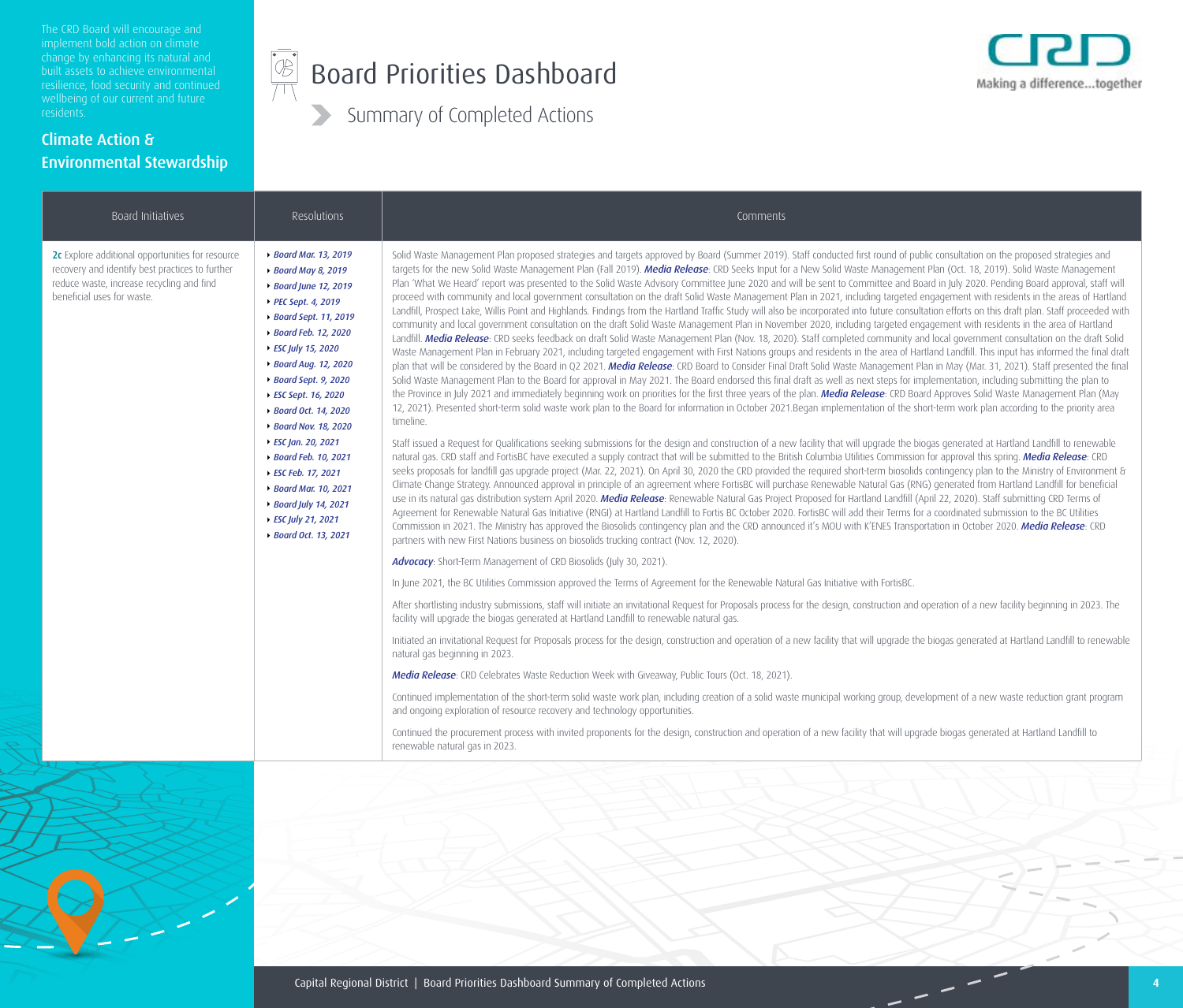The CRD Board will encourage and built assets to achieve environmental

#### Climate Action & Environmental Stewardship

#### $\begin{picture}(45,17) \put(0,0){\line(1,0){155}} \put(15,0){\line(1,0){155}} \put(15,0){\line(1,0){155}} \put(15,0){\line(1,0){155}} \put(15,0){\line(1,0){155}} \put(15,0){\line(1,0){155}} \put(15,0){\line(1,0){155}} \put(15,0){\line(1,0){155}} \put(15,0){\line(1,0){155}} \put(15,0){\line(1,0){155}} \put(15,0){\line(1,0){155}} \$ Board Priorities Dashboard



| Board Initiatives                                                                                                                                                              | Resolutions                                                                                                                                                                                                                                                                                                                                                                                                                                      | Comments                                                                                                                                                                                                                                                                                                                                                                                                                                                                                                                                                                                                                                                                                                                                                                                                                                                                                                                                                                                                                                                                                                                                                                                                                                                                                                                                                                                                                                                                                                                                                                                                                                                                                                                                                                                                                                                                                                                                                                                                                                                                                                                                                                                                                                                                                                                                                                                                                                                                                                                                                                                                                                                                                                                                                                                                                                                                                                                                                                                                                                                                                                                                                                                                                                                                                                                                                                                                                                                                                                                                                                                                                                                                                                  |
|--------------------------------------------------------------------------------------------------------------------------------------------------------------------------------|--------------------------------------------------------------------------------------------------------------------------------------------------------------------------------------------------------------------------------------------------------------------------------------------------------------------------------------------------------------------------------------------------------------------------------------------------|-----------------------------------------------------------------------------------------------------------------------------------------------------------------------------------------------------------------------------------------------------------------------------------------------------------------------------------------------------------------------------------------------------------------------------------------------------------------------------------------------------------------------------------------------------------------------------------------------------------------------------------------------------------------------------------------------------------------------------------------------------------------------------------------------------------------------------------------------------------------------------------------------------------------------------------------------------------------------------------------------------------------------------------------------------------------------------------------------------------------------------------------------------------------------------------------------------------------------------------------------------------------------------------------------------------------------------------------------------------------------------------------------------------------------------------------------------------------------------------------------------------------------------------------------------------------------------------------------------------------------------------------------------------------------------------------------------------------------------------------------------------------------------------------------------------------------------------------------------------------------------------------------------------------------------------------------------------------------------------------------------------------------------------------------------------------------------------------------------------------------------------------------------------------------------------------------------------------------------------------------------------------------------------------------------------------------------------------------------------------------------------------------------------------------------------------------------------------------------------------------------------------------------------------------------------------------------------------------------------------------------------------------------------------------------------------------------------------------------------------------------------------------------------------------------------------------------------------------------------------------------------------------------------------------------------------------------------------------------------------------------------------------------------------------------------------------------------------------------------------------------------------------------------------------------------------------------------------------------------------------------------------------------------------------------------------------------------------------------------------------------------------------------------------------------------------------------------------------------------------------------------------------------------------------------------------------------------------------------------------------------------------------------------------------------------------------------------|
| 2c Explore additional opportunities for resource<br>recovery and identify best practices to further<br>reduce waste, increase recycling and find<br>beneficial uses for waste. | ▶ Board Mar. 13, 2019<br>▶ Board May 8, 2019<br>▶ Board June 12, 2019<br>PEC Sept. 4, 2019<br>▶ Board Sept. 11, 2019<br>▶ Board Feb. 12, 2020<br>▶ ESC July 15, 2020<br>▶ Board Aug. 12, 2020<br>▶ Board Sept. 9, 2020<br>▶ ESC Sept. 16, 2020<br>▶ Board Oct. 14, 2020<br>▶ Board Nov. 18, 2020<br>▶ ESC Jan. 20, 2021<br>▶ Board Feb. 10, 2021<br>▶ ESC Feb. 17, 2021<br>▶ Board Mar. 10, 2021<br>▶ Board July 14, 2021<br>▶ ESC July 21, 2021 | Solid Waste Management Plan proposed strategies and targets approved by Board (Summer 2019). Staff conducted first round of public consultation on the proposed strategies and<br>targets for the new Solid Waste Management Plan (Fall 2019). Media Release: CRD Seeks Input for a New Solid Waste Management Plan (Oct. 18, 2019). Solid Waste Management<br>Plan 'What We Heard' report was presented to the Solid Waste Advisory Committee June 2020 and will be sent to Committee and Board in July 2020. Pending Board approval, staff will<br>proceed with community and local government consultation on the draft Solid Waste Management Plan in 2021, including targeted engagement with residents in the areas of Hartland<br>Landfill, Prospect Lake, Willis Point and Highlands. Findings from the Hartland Traffic Study will also be incorporated into future consultation efforts on this draft plan. Staff proceeded with<br>community and local government consultation on the draft Solid Waste Management Plan in November 2020, including targeted engagement with residents in the area of Hartland<br>Landfill. Media Release: CRD seeks feedback on draft Solid Waste Management Plan (Nov. 18, 2020). Staff completed community and local government consultation on the draft Solid<br>Waste Management Plan in February 2021, including targeted engagement with First Nations groups and residents in the area of Hartland Landfill. This input has informed the final draft<br>plan that will be considered by the Board in Q2 2021. Media Release: CRD Board to Consider Final Draft Solid Waste Management Plan in May (Mar. 31, 2021). Staff presented the final<br>Solid Waste Management Plan to the Board for approval in May 2021. The Board endorsed this final draft as well as next steps for implementation, including submitting the plan to<br>the Province in July 2021 and immediately beginning work on priorities for the first three years of the plan. Media Release: CRD Board Approves Solid Waste Management Plan (May<br>12, 2021). Presented short-term solid waste work plan to the Board for information in October 2021.Began implementation of the short-term work plan according to the priority area<br>timeline.<br>Staff issued a Request for Qualifications seeking submissions for the design and construction of a new facility that will upgrade the biogas generated at Hartland Landfill to renewable<br>natural gas. CRD staff and FortisBC have executed a supply contract that will be submitted to the British Columbia Utilities Commission for approval this spring. Media Release: CRD<br>seeks proposals for landfill gas upgrade project (Mar. 22, 2021). On April 30, 2020 the CRD provided the required short-term biosolids contingency plan to the Ministry of Environment &<br>Climate Change Strategy. Announced approval in principle of an agreement where FortisBC will purchase Renewable Natural Gas (RNG) generated from Hartland Landfill for beneficial<br>use in its natural gas distribution system April 2020. Media Release: Renewable Natural Gas Project Proposed for Hartland Landfill (April 22, 2020). Staff submitting CRD Terms of<br>Agreement for Renewable Natural Gas Initiative (RNGI) at Hartland Landfill to Fortis BC October 2020. FortisBC will add their Terms for a coordinated submission to the BC Utilities<br>Commission in 2021. The Ministry has approved the Biosolids contingency plan and the CRD announced it's MOU with K'ENES Transportation in October 2020. Media Release: CRD<br>partners with new First Nations business on biosolids trucking contract (Nov. 12, 2020). |
|                                                                                                                                                                                |                                                                                                                                                                                                                                                                                                                                                                                                                                                  | Advocacy: Short-Term Management of CRD Biosolids (July 30, 2021).                                                                                                                                                                                                                                                                                                                                                                                                                                                                                                                                                                                                                                                                                                                                                                                                                                                                                                                                                                                                                                                                                                                                                                                                                                                                                                                                                                                                                                                                                                                                                                                                                                                                                                                                                                                                                                                                                                                                                                                                                                                                                                                                                                                                                                                                                                                                                                                                                                                                                                                                                                                                                                                                                                                                                                                                                                                                                                                                                                                                                                                                                                                                                                                                                                                                                                                                                                                                                                                                                                                                                                                                                                         |
|                                                                                                                                                                                |                                                                                                                                                                                                                                                                                                                                                                                                                                                  | In June 2021, the BC Utilities Commission approved the Terms of Agreement for the Renewable Natural Gas Initiative with FortisBC.                                                                                                                                                                                                                                                                                                                                                                                                                                                                                                                                                                                                                                                                                                                                                                                                                                                                                                                                                                                                                                                                                                                                                                                                                                                                                                                                                                                                                                                                                                                                                                                                                                                                                                                                                                                                                                                                                                                                                                                                                                                                                                                                                                                                                                                                                                                                                                                                                                                                                                                                                                                                                                                                                                                                                                                                                                                                                                                                                                                                                                                                                                                                                                                                                                                                                                                                                                                                                                                                                                                                                                         |
|                                                                                                                                                                                |                                                                                                                                                                                                                                                                                                                                                                                                                                                  | After shortlisting industry submissions, staff will initiate an invitational Request for Proposals process for the design, construction and operation of a new facility beginning in 2023. The<br>facility will upgrade the biogas generated at Hartland Landfill to renewable natural gas.                                                                                                                                                                                                                                                                                                                                                                                                                                                                                                                                                                                                                                                                                                                                                                                                                                                                                                                                                                                                                                                                                                                                                                                                                                                                                                                                                                                                                                                                                                                                                                                                                                                                                                                                                                                                                                                                                                                                                                                                                                                                                                                                                                                                                                                                                                                                                                                                                                                                                                                                                                                                                                                                                                                                                                                                                                                                                                                                                                                                                                                                                                                                                                                                                                                                                                                                                                                                               |
|                                                                                                                                                                                |                                                                                                                                                                                                                                                                                                                                                                                                                                                  | Initiated an invitational Request for Proposals process for the design, construction and operation of a new facility that will upgrade the biogas generated at Hartland Landfill to renewable<br>natural gas beginning in 2023.                                                                                                                                                                                                                                                                                                                                                                                                                                                                                                                                                                                                                                                                                                                                                                                                                                                                                                                                                                                                                                                                                                                                                                                                                                                                                                                                                                                                                                                                                                                                                                                                                                                                                                                                                                                                                                                                                                                                                                                                                                                                                                                                                                                                                                                                                                                                                                                                                                                                                                                                                                                                                                                                                                                                                                                                                                                                                                                                                                                                                                                                                                                                                                                                                                                                                                                                                                                                                                                                           |
|                                                                                                                                                                                |                                                                                                                                                                                                                                                                                                                                                                                                                                                  | Media Release: CRD Celebrates Waste Reduction Week with Giveaway, Public Tours (Oct. 18, 2021).                                                                                                                                                                                                                                                                                                                                                                                                                                                                                                                                                                                                                                                                                                                                                                                                                                                                                                                                                                                                                                                                                                                                                                                                                                                                                                                                                                                                                                                                                                                                                                                                                                                                                                                                                                                                                                                                                                                                                                                                                                                                                                                                                                                                                                                                                                                                                                                                                                                                                                                                                                                                                                                                                                                                                                                                                                                                                                                                                                                                                                                                                                                                                                                                                                                                                                                                                                                                                                                                                                                                                                                                           |
|                                                                                                                                                                                |                                                                                                                                                                                                                                                                                                                                                                                                                                                  | Continued implementation of the short-term solid waste work plan, including creation of a solid waste municipal working group, development of a new waste reduction grant program<br>and ongoing exploration of resource recovery and technology opportunities.                                                                                                                                                                                                                                                                                                                                                                                                                                                                                                                                                                                                                                                                                                                                                                                                                                                                                                                                                                                                                                                                                                                                                                                                                                                                                                                                                                                                                                                                                                                                                                                                                                                                                                                                                                                                                                                                                                                                                                                                                                                                                                                                                                                                                                                                                                                                                                                                                                                                                                                                                                                                                                                                                                                                                                                                                                                                                                                                                                                                                                                                                                                                                                                                                                                                                                                                                                                                                                           |
|                                                                                                                                                                                |                                                                                                                                                                                                                                                                                                                                                                                                                                                  | Continued the procurement process with invited proponents for the design, construction and operation of a new facility that will upgrade biogas generated at Hartland Landfill to<br>renewable natural gas in 2023.                                                                                                                                                                                                                                                                                                                                                                                                                                                                                                                                                                                                                                                                                                                                                                                                                                                                                                                                                                                                                                                                                                                                                                                                                                                                                                                                                                                                                                                                                                                                                                                                                                                                                                                                                                                                                                                                                                                                                                                                                                                                                                                                                                                                                                                                                                                                                                                                                                                                                                                                                                                                                                                                                                                                                                                                                                                                                                                                                                                                                                                                                                                                                                                                                                                                                                                                                                                                                                                                                       |

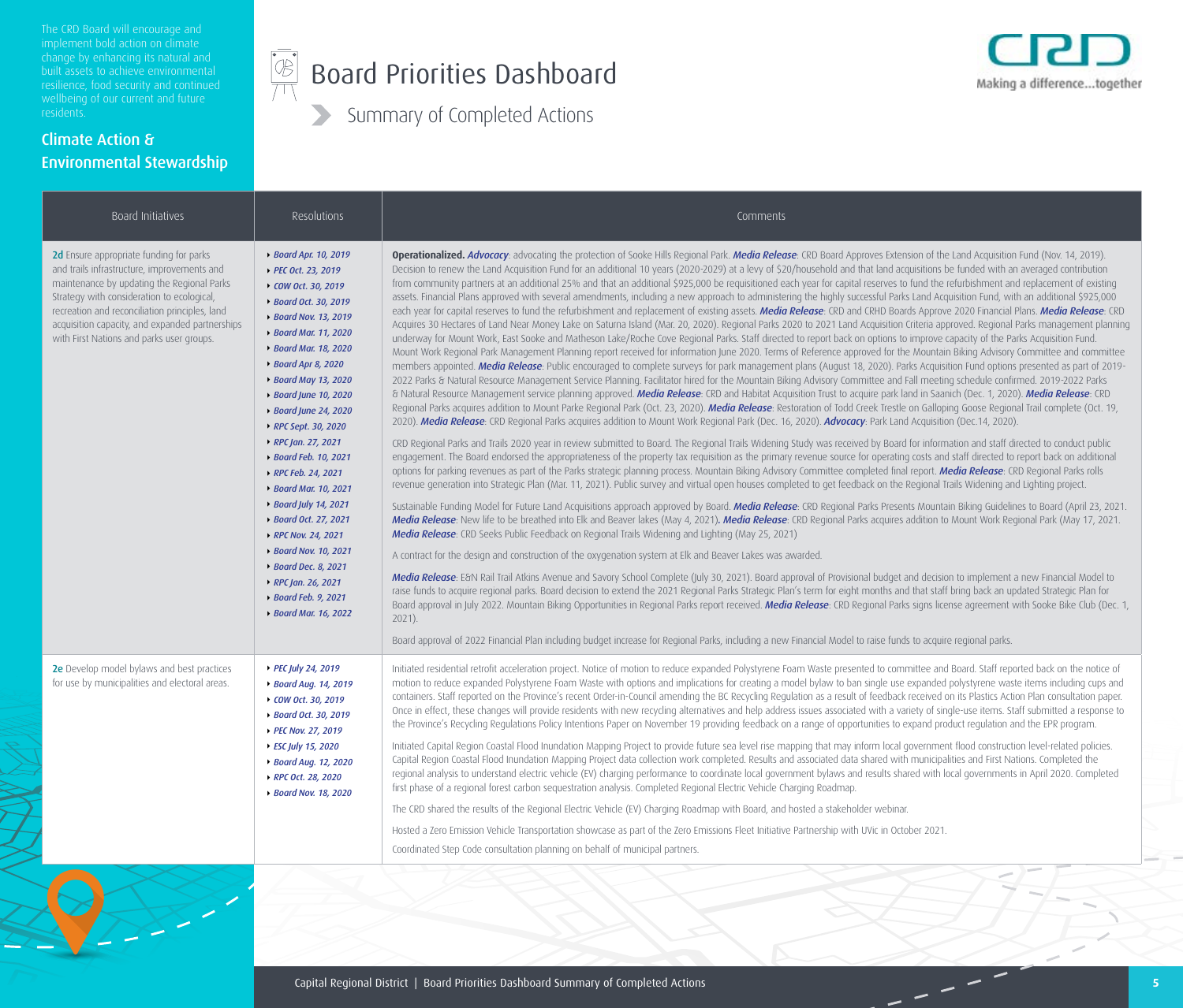The CRD Board will encourage and implement bold action on climate built assets to achieve environmental

#### Climate Action & Environmental Stewardship



# Board Priorities Dashboard



| Resolutions                                                                                                                                                                                                                                                                                                                                                                                                                                                                                                                                                                                        | Comments                                                                                                                                                                                                                                                                                                                                                                                                                                                                                                                                                                                                                                                                                                                                                                                                                                                                                                                                                                                                                                                                                                                                                                                                                                                                                                                                                                                                                                                                                                                                                                                                                                                                                                                                                                                                                                                                                                                                                                                                                                                                                                                                                                                                                                                                                                                                                                                                                                                                                                                                                                                                                                                                                                                                                                                                                                                                                                                                                                                                                                                                                                                                                                                                                                                                                                                                                                                                                                                                                                                                                                                                                                                                                                                                                                                                                                                                                                                                                                                                                                                                                                                                                                                                                                                                                                                                                                                                                                                                                     |
|----------------------------------------------------------------------------------------------------------------------------------------------------------------------------------------------------------------------------------------------------------------------------------------------------------------------------------------------------------------------------------------------------------------------------------------------------------------------------------------------------------------------------------------------------------------------------------------------------|----------------------------------------------------------------------------------------------------------------------------------------------------------------------------------------------------------------------------------------------------------------------------------------------------------------------------------------------------------------------------------------------------------------------------------------------------------------------------------------------------------------------------------------------------------------------------------------------------------------------------------------------------------------------------------------------------------------------------------------------------------------------------------------------------------------------------------------------------------------------------------------------------------------------------------------------------------------------------------------------------------------------------------------------------------------------------------------------------------------------------------------------------------------------------------------------------------------------------------------------------------------------------------------------------------------------------------------------------------------------------------------------------------------------------------------------------------------------------------------------------------------------------------------------------------------------------------------------------------------------------------------------------------------------------------------------------------------------------------------------------------------------------------------------------------------------------------------------------------------------------------------------------------------------------------------------------------------------------------------------------------------------------------------------------------------------------------------------------------------------------------------------------------------------------------------------------------------------------------------------------------------------------------------------------------------------------------------------------------------------------------------------------------------------------------------------------------------------------------------------------------------------------------------------------------------------------------------------------------------------------------------------------------------------------------------------------------------------------------------------------------------------------------------------------------------------------------------------------------------------------------------------------------------------------------------------------------------------------------------------------------------------------------------------------------------------------------------------------------------------------------------------------------------------------------------------------------------------------------------------------------------------------------------------------------------------------------------------------------------------------------------------------------------------------------------------------------------------------------------------------------------------------------------------------------------------------------------------------------------------------------------------------------------------------------------------------------------------------------------------------------------------------------------------------------------------------------------------------------------------------------------------------------------------------------------------------------------------------------------------------------------------------------------------------------------------------------------------------------------------------------------------------------------------------------------------------------------------------------------------------------------------------------------------------------------------------------------------------------------------------------------------------------------------------------------------------------------------------------------------|
| ▶ Board Apr. 10, 2019<br>▶ PEC Oct. 23, 2019<br>▶ COW Oct. 30, 2019<br>▶ Board Oct. 30, 2019<br>▶ Board Nov. 13, 2019<br>▶ Board Mar. 11, 2020<br>▶ Board Mar. 18, 2020<br>▶ Board Apr 8, 2020<br>▶ Board May 13, 2020<br>▶ Board June 10, 2020<br>▶ Board June 24, 2020<br>▶ RPC Sept. 30, 2020<br>▶ RPC Jan. 27, 2021<br>▶ Board Feb. 10, 2021<br>▶ RPC Feb. 24, 2021<br>▶ Board Mar. 10, 2021<br>▶ Board July 14, 2021<br>▶ Board Oct. 27, 2021<br>▶ RPC Nov. 24, 2021<br>▶ Board Nov. 10, 2021<br>▶ Board Dec. 8, 2021<br>▶ RPC Jan. 26, 2021<br>▶ Board Feb. 9, 2021<br>▶ Board Mar. 16, 2022 | Operationalized. Advocacy: advocating the protection of Sooke Hills Regional Park. Media Release: CRD Board Approves Extension of the Land Acquisition Fund (Nov. 14, 2019).<br>Decision to renew the Land Acquisition Fund for an additional 10 years (2020-2029) at a levy of \$20/household and that land acquisitions be funded with an averaged contribution<br>from community partners at an additional 25% and that an additional \$925,000 be requisitioned each year for capital reserves to fund the refurbishment and replacement of existing<br>assets. Financial Plans approved with several amendments, including a new approach to administering the highly successful Parks Land Acquisition Fund, with an additional \$925,000<br>each year for capital reserves to fund the refurbishment and replacement of existing assets. Media Release: CRD and CRHD Boards Approve 2020 Financial Plans. Media Release: CRD<br>Acquires 30 Hectares of Land Near Money Lake on Saturna Island (Mar. 20, 2020). Regional Parks 2020 to 2021 Land Acquisition Criteria approved. Regional Parks management planning<br>underway for Mount Work, East Sooke and Matheson Lake/Roche Cove Regional Parks. Staff directed to report back on options to improve capacity of the Parks Acquisition Fund.<br>Mount Work Regional Park Management Planning report received for information June 2020. Terms of Reference approved for the Mountain Biking Advisory Committee and committee<br>members appointed. Media Release: Public encouraged to complete surveys for park management plans (August 18, 2020). Parks Acquisition Fund options presented as part of 2019-<br>2022 Parks & Natural Resource Management Service Planning. Facilitator hired for the Mountain Biking Advisory Committee and Fall meeting schedule confirmed. 2019-2022 Parks<br>& Natural Resource Management service planning approved. Media Release: CRD and Habitat Acquisition Trust to acquire park land in Saanich (Dec. 1, 2020). Media Release: CRD<br>Regional Parks acquires addition to Mount Parke Regional Park (Oct. 23, 2020). Media Release: Restoration of Todd Creek Trestle on Galloping Goose Regional Trail complete (Oct. 19,<br>2020). Media Release: CRD Regional Parks acquires addition to Mount Work Regional Park (Dec. 16, 2020). Advocacy: Park Land Acquisition (Dec.14, 2020).<br>CRD Regional Parks and Trails 2020 year in review submitted to Board. The Regional Trails Widening Study was received by Board for information and staff directed to conduct public<br>engagement. The Board endorsed the appropriateness of the property tax requisition as the primary revenue source for operating costs and staff directed to report back on additional<br>options for parking revenues as part of the Parks strategic planning process. Mountain Biking Advisory Committee completed final report. Media Release: CRD Regional Parks rolls<br>revenue generation into Strategic Plan (Mar. 11, 2021). Public survey and virtual open houses completed to get feedback on the Regional Trails Widening and Lighting project.<br>Sustainable Funding Model for Future Land Acquisitions approach approved by Board. Media Release: CRD Regional Parks Presents Mountain Biking Guidelines to Board (April 23, 2021.<br>Media Release: New life to be breathed into Elk and Beaver lakes (May 4, 2021). Media Release: CRD Regional Parks acquires addition to Mount Work Regional Park (May 17, 2021.<br>Media Release: CRD Seeks Public Feedback on Regional Trails Widening and Lighting (May 25, 2021)<br>A contract for the design and construction of the oxygenation system at Elk and Beaver Lakes was awarded.<br>Media Release: E&N Rail Trail Atkins Avenue and Savory School Complete (July 30, 2021). Board approval of Provisional budget and decision to implement a new Financial Model to<br>raise funds to acquire regional parks. Board decision to extend the 2021 Regional Parks Strategic Plan's term for eight months and that staff bring back an updated Strategic Plan for<br>Board approval in July 2022. Mountain Biking Opportunities in Regional Parks report received. Media Release: CRD Regional Parks signs license agreement with Sooke Bike Club (Dec. 1,<br>2021).<br>Board approval of 2022 Financial Plan including budget increase for Regional Parks, including a new Financial Model to raise funds to acquire regional parks. |
| PEC July 24, 2019<br>▶ Board Aug. 14, 2019<br>▶ COW Oct. 30, 2019<br>▶ Board Oct. 30, 2019<br>▶ PEC Nov. 27, 2019<br>▶ ESC July 15, 2020<br>▶ Board Aug. 12, 2020<br>RPC Oct. 28, 2020<br>▶ Board Nov. 18, 2020                                                                                                                                                                                                                                                                                                                                                                                    | Initiated residential retrofit acceleration project. Notice of motion to reduce expanded Polystyrene Foam Waste presented to committee and Board. Staff reported back on the notice of<br>motion to reduce expanded Polystyrene Foam Waste with options and implications for creating a model bylaw to ban single use expanded polystyrene waste items including cups and<br>containers. Staff reported on the Province's recent Order-in-Council amending the BC Recycling Regulation as a result of feedback received on its Plastics Action Plan consultation paper.<br>Once in effect, these changes will provide residents with new recycling alternatives and help address issues associated with a variety of single-use items. Staff submitted a response to<br>the Province's Recycling Regulations Policy Intentions Paper on November 19 providing feedback on a range of opportunities to expand product regulation and the EPR program.<br>Initiated Capital Region Coastal Flood Inundation Mapping Project to provide future sea level rise mapping that may inform local government flood construction level-related policies.<br>Capital Region Coastal Flood Inundation Mapping Project data collection work completed. Results and associated data shared with municipalities and First Nations. Completed the<br>regional analysis to understand electric vehicle (EV) charging performance to coordinate local government bylaws and results shared with local governments in April 2020. Completed<br>first phase of a regional forest carbon sequestration analysis. Completed Regional Electric Vehicle Charging Roadmap.<br>The CRD shared the results of the Regional Electric Vehicle (EV) Charging Roadmap with Board, and hosted a stakeholder webinar.<br>Hosted a Zero Emission Vehicle Transportation showcase as part of the Zero Emissions Fleet Initiative Partnership with UVic in October 2021.<br>Coordinated Step Code consultation planning on behalf of municipal partners.                                                                                                                                                                                                                                                                                                                                                                                                                                                                                                                                                                                                                                                                                                                                                                                                                                                                                                                                                                                                                                                                                                                                                                                                                                                                                                                                                                                                                                                                                                                                                                                                                                                                                                                                                                                                                                                                                                                                                                                                                                                                                                                                                                                                                                                                                                                                                                                                                                                                         |
|                                                                                                                                                                                                                                                                                                                                                                                                                                                                                                                                                                                                    |                                                                                                                                                                                                                                                                                                                                                                                                                                                                                                                                                                                                                                                                                                                                                                                                                                                                                                                                                                                                                                                                                                                                                                                                                                                                                                                                                                                                                                                                                                                                                                                                                                                                                                                                                                                                                                                                                                                                                                                                                                                                                                                                                                                                                                                                                                                                                                                                                                                                                                                                                                                                                                                                                                                                                                                                                                                                                                                                                                                                                                                                                                                                                                                                                                                                                                                                                                                                                                                                                                                                                                                                                                                                                                                                                                                                                                                                                                                                                                                                                                                                                                                                                                                                                                                                                                                                                                                                                                                                                              |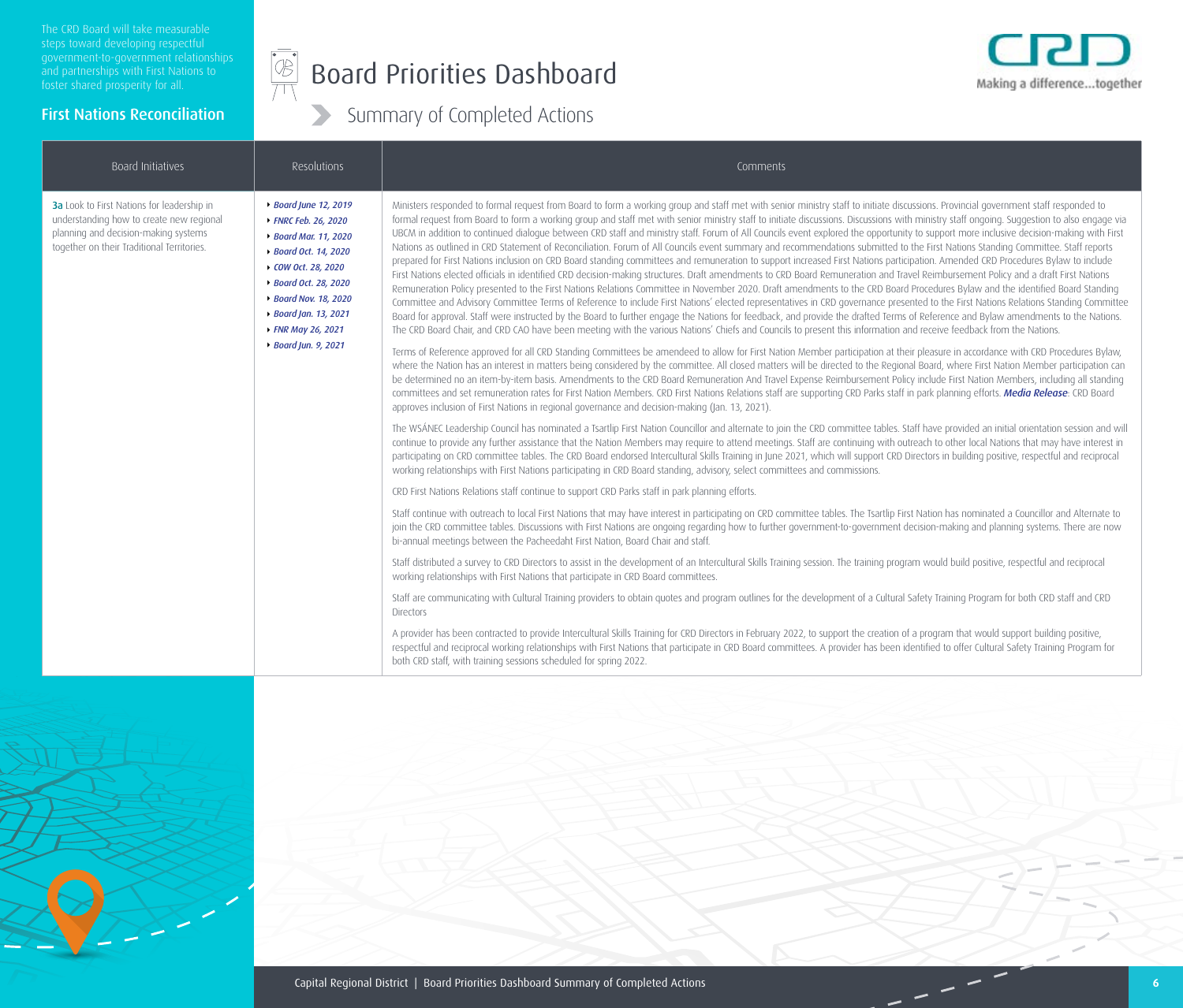#### $\frac{1}{\sqrt{2}}$ Board Priorities Dashboard

Summary of Completed Actions



#### First Nations Reconciliation

#### Board Initiatives and the secolutions and the secolutions of the comments of the comments of the comments comments **3a** Look to First Nations for leadership in understanding how to create new regional planning and decision-making systems together on their Traditional Territories. *[Board June 12, 2019](https://www.crd.bc.ca/docs/default-source/crd-document-library/committeedocuments/capitalregionaldistrictboard/02190612/2019-06-12minutes.pdf?sfvrsn=ef07bfca_2) [FNRC Feb. 26, 2020](https://www.crd.bc.ca/docs/default-source/crd-document-library/committeedocuments/first-nations-relations-committee/20200226/2020-02-26agendapkgfnrc.pdf?sfvrsn=56ca40cc_4) [Board Mar. 11, 2020](https://www.crd.bc.ca/docs/default-source/crd-document-library/committeedocuments/capitalregionaldistrictboard/20200311/2020-03-11minutesrb.pdf?sfvrsn=ddc259cc_2) [Board Oct. 14, 2020](https://www.crd.bc.ca/docs/default-source/crd-document-library/committeedocuments/capitalregionaldistrictboard/20201014/2020-10-14minutesrb.pdf?sfvrsn=4af0b1cc_2) [COW Oct. 28, 2020](https://www.crd.bc.ca/docs/default-source/crd-document-library/committeedocuments/crdcommitteeofthewhole/20201028/2020-10-28minutescow.pdf?sfvrsn=3d13aecc_4) [Board Oct. 28, 2020](https://www.crd.bc.ca/docs/default-source/crd-document-library/committeedocuments/capitalregionaldistrictboard/20201028/2020-10-28minutesrb.pdf?sfvrsn=6ff0b1cc_2) [Board Nov. 18, 2020](https://www.crd.bc.ca/docs/default-source/crd-document-library/committeedocuments/capitalregionaldistrictboard/20201118/2020-11-18minutesrb.pdf?sfvrsn=88f0b1cc_2) [Board Jan. 13, 202](https://www.crd.bc.ca/docs/default-source/crd-document-library/committeedocuments/capitalregionaldistrictboard/20210113/2021-01-13minutesrb.pdf?sfvrsn=2a797cc_4)1 [FNR May 26, 2021](https://www.crd.bc.ca/about/document-library/documents/committeedocuments/first-nations-relations-committee/20210526) [Board Jun. 9, 2021](https://www.crd.bc.ca/docs/default-source/crd-document-library/committeedocuments/capitalregionaldistrictboard/20210609/2021-06-09minutesrb.pdf?sfvrsn=96df2ccd_2)* Ministers responded to formal request from Board to form a working group and staff met with senior ministry staff to initiate discussions. Provincial government staff responded to formal request from Board to form a working group and staff met with senior ministry staff to initiate discussions. Discussions with ministry staff ongoing. Suggestion to also engage via UBCM in addition to continued dialogue between CRD staff and ministry staff. Forum of All Councils event explored the opportunity to support more inclusive decision-making with First Nations as outlined in CRD Statement of Reconciliation. Forum of All Councils event summary and recommendations submitted to the First Nations Standing Committee. Staff reports prepared for First Nations inclusion on CRD Board standing committees and remuneration to support increased First Nations participation. Amended CRD Procedures Bylaw to include First Nations elected officials in identified CRD decision-making structures. Draft amendments to CRD Board Remuneration and Travel Reimbursement Policy and a draft First Nations Remuneration Policy presented to the First Nations Relations Committee in November 2020. Draft amendments to the CRD Board Procedures Bylaw and the identified Board Standing Committee and Advisory Committee Terms of Reference to include First Nations' elected representatives in CRD governance presented to the First Nations Relations Standing Committee Board for approval. Staff were instructed by the Board to further engage the Nations for feedback, and provide the drafted Terms of Reference and Bylaw amendments to the Nations. The CRD Board Chair, and CRD CAO have been meeting with the various Nations' Chiefs and Councils to present this information and receive feedback from the Nations. Terms of Reference approved for all CRD Standing Committees be amendeed to allow for First Nation Member participation at their pleasure in accordance with CRD Procedures Bylaw, where the Nation has an interest in matters being considered by the committee. All closed matters will be directed to the Regional Board, where First Nation Member participation can be determined no an item-by-item basis. Amendments to the CRD Board Remuneration And Travel Expense Reimbursement Policy include First Nation Members, including all standing committees and set remuneration rates for First Nation Members. CRD First Nations Relations staff are supporting CRD Parks staff in park planning efforts. *[Media Release](https://www.crd.bc.ca/about/news/article/2021/01/13/crd-board-approves-inclusion-of-first-nations-in-regional-governance-and-decision-making)*: CRD Board approves inclusion of First Nations in regional governance and decision-making (Jan. 13, 2021). The WSÁNEC Leadership Council has nominated a Tsartlip First Nation Councillor and alternate to join the CRD committee tables. Staff have provided an initial orientation session and will continue to provide any further assistance that the Nation Members may require to attend meetings. Staff are continuing with outreach to other local Nations that may have interest in participating on CRD committee tables. The CRD Board endorsed Intercultural Skills Training in June 2021, which will support CRD Directors in building positive, respectful and reciprocal working relationships with First Nations participating in CRD Board standing, advisory, select committees and commissions. CRD First Nations Relations staff continue to support CRD Parks staff in park planning efforts. Staff continue with outreach to local First Nations that may have interest in participating on CRD committee tables. The Tsartlip First Nation has nominated a Councillor and Alternate to join the CRD committee tables. Discussions with First Nations are ongoing regarding how to further government-to-government decision-making and planning systems. There are now bi-annual meetings between the Pacheedaht First Nation, Board Chair and staff. Staff distributed a survey to CRD Directors to assist in the development of an Intercultural Skills Training session. The training program would build positive, respectful and reciprocal working relationships with First Nations that participate in CRD Board committees.

Staff are communicating with Cultural Training providers to obtain quotes and program outlines for the development of a Cultural Safety Training Program for both CRD staff and CRD Directors

A provider has been contracted to provide Intercultural Skills Training for CRD Directors in February 2022, to support the creation of a program that would support building positive, respectful and reciprocal working relationships with First Nations that participate in CRD Board committees. A provider has been identified to offer Cultural Safety Training Program for both CRD staff, with training sessions scheduled for spring 2022.



Capital Regional District | Board Priorities Dashboard Summary of Completed Actions **6**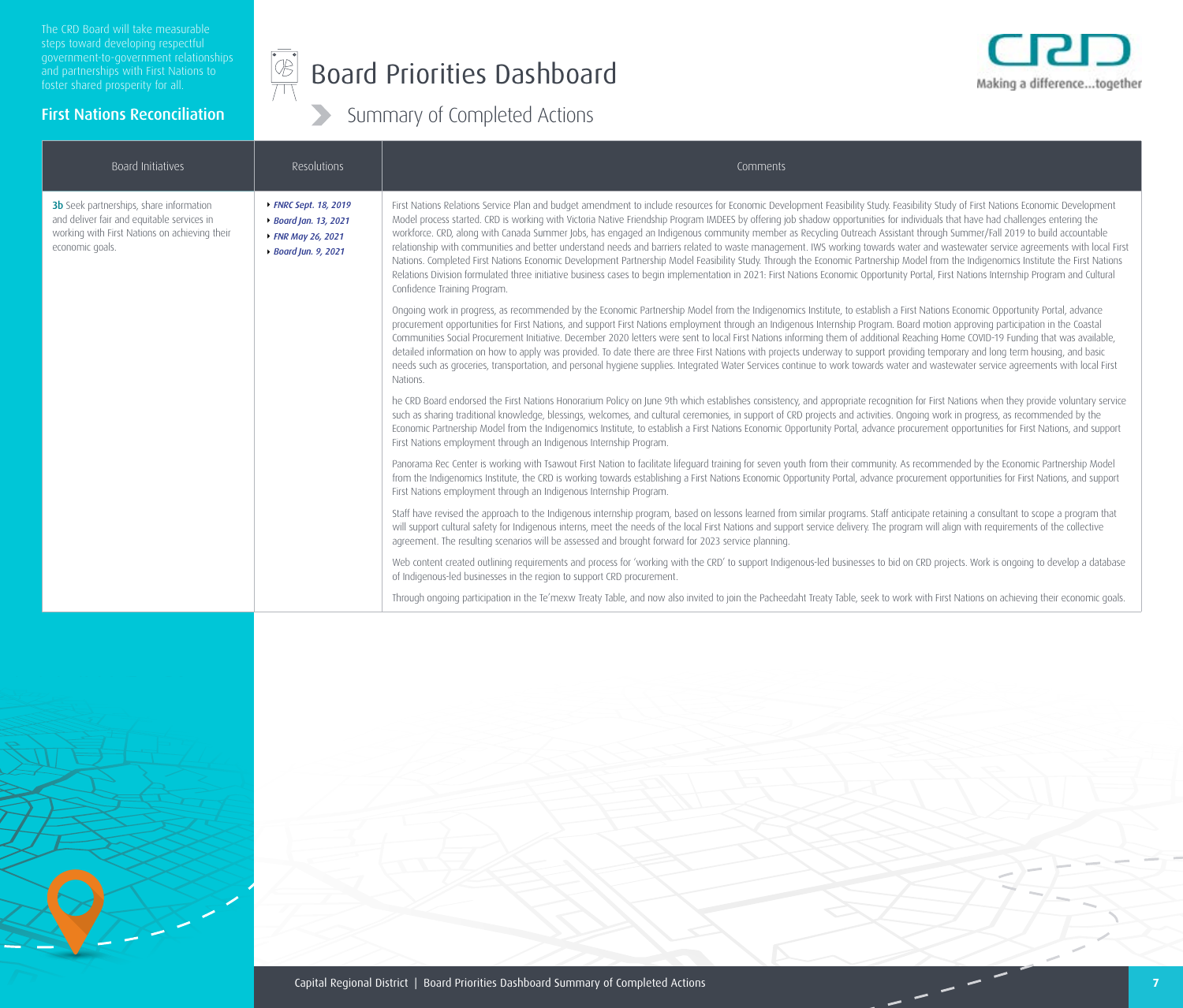First Nations Reconciliation

#### $\begin{picture}(42,10) \put(0,0){\line(1,0){10}} \put(15,0){\line(1,0){10}} \put(15,0){\line(1,0){10}} \put(15,0){\line(1,0){10}} \put(15,0){\line(1,0){10}} \put(15,0){\line(1,0){10}} \put(15,0){\line(1,0){10}} \put(15,0){\line(1,0){10}} \put(15,0){\line(1,0){10}} \put(15,0){\line(1,0){10}} \put(15,0){\line(1,0){10}} \put(15,0){\line(1$ Board Priorities Dashboard



| Board Initiatives                                                                                                                                                                                                                                         | Resolutions                                                                                                                                                                                                                                                                                                                                                                                                                                                                                                                                                                                                                                                                                                                                                                                                                                                                                                                                                                                                                                                                                                                                            | Comments                                                                                                                                                                                                                                                                                                                                                                                                                                                                                                                                                                                                                                  |
|-----------------------------------------------------------------------------------------------------------------------------------------------------------------------------------------------------------------------------------------------------------|--------------------------------------------------------------------------------------------------------------------------------------------------------------------------------------------------------------------------------------------------------------------------------------------------------------------------------------------------------------------------------------------------------------------------------------------------------------------------------------------------------------------------------------------------------------------------------------------------------------------------------------------------------------------------------------------------------------------------------------------------------------------------------------------------------------------------------------------------------------------------------------------------------------------------------------------------------------------------------------------------------------------------------------------------------------------------------------------------------------------------------------------------------|-------------------------------------------------------------------------------------------------------------------------------------------------------------------------------------------------------------------------------------------------------------------------------------------------------------------------------------------------------------------------------------------------------------------------------------------------------------------------------------------------------------------------------------------------------------------------------------------------------------------------------------------|
| 3b Seek partnerships, share information<br>▶ FNRC Sept. 18, 2019<br>and deliver fair and equitable services in<br>▶ Board Jan. 13, 2021<br>working with First Nations on achieving their<br>▶ FNR May 26, 2021<br>economic goals.<br>▶ Board Jun. 9, 2021 | First Nations Relations Service Plan and budget amendment to include resources for Economic Development Feasibility Study. Feasibility Study of First Nations Economic Development<br>Model process started. CRD is working with Victoria Native Friendship Program IMDEES by offering job shadow opportunities for individuals that have had challenges entering the<br>workforce. CRD, along with Canada Summer Jobs, has engaged an Indigenous community member as Recycling Outreach Assistant through Summer/Fall 2019 to build accountable<br>relationship with communities and better understand needs and barriers related to waste management. IWS working towards water and wastewater service agreements with local First<br>Nations. Completed First Nations Economic Development Partnership Model Feasibility Study. Through the Economic Partnership Model from the Indigenomics Institute the First Nations<br>Relations Division formulated three initiative business cases to begin implementation in 2021: First Nations Economic Opportunity Portal, First Nations Internship Program and Cultural<br>Confidence Training Program. |                                                                                                                                                                                                                                                                                                                                                                                                                                                                                                                                                                                                                                           |
|                                                                                                                                                                                                                                                           | Ongoing work in progress, as recommended by the Economic Partnership Model from the Indigenomics Institute, to establish a First Nations Economic Opportunity Portal, advance<br>procurement opportunities for First Nations, and support First Nations employment through an Indigenous Internship Program. Board motion approving participation in the Coastal<br>Communities Social Procurement Initiative. December 2020 letters were sent to local First Nations informing them of additional Reaching Home COVID-19 Funding that was available,<br>detailed information on how to apply was provided. To date there are three First Nations with projects underway to support providing temporary and long term housing, and basic<br>needs such as groceries, transportation, and personal hygiene supplies. Integrated Water Services continue to work towards water and wastewater service agreements with local First<br>Nations.                                                                                                                                                                                                            |                                                                                                                                                                                                                                                                                                                                                                                                                                                                                                                                                                                                                                           |
|                                                                                                                                                                                                                                                           |                                                                                                                                                                                                                                                                                                                                                                                                                                                                                                                                                                                                                                                                                                                                                                                                                                                                                                                                                                                                                                                                                                                                                        | he CRD Board endorsed the First Nations Honorarium Policy on June 9th which establishes consistency, and appropriate recognition for First Nations when they provide voluntary service<br>such as sharing traditional knowledge, blessings, welcomes, and cultural ceremonies, in support of CRD projects and activities. Ongoing work in progress, as recommended by the<br>Economic Partnership Model from the Indigenomics Institute, to establish a First Nations Economic Opportunity Portal, advance procurement opportunities for First Nations, and support<br>First Nations employment through an Indigenous Internship Program. |
|                                                                                                                                                                                                                                                           |                                                                                                                                                                                                                                                                                                                                                                                                                                                                                                                                                                                                                                                                                                                                                                                                                                                                                                                                                                                                                                                                                                                                                        | Panorama Rec Center is working with Tsawout First Nation to facilitate lifeguard training for seven youth from their community. As recommended by the Economic Partnership Model<br>from the Indigenomics Institute, the CRD is working towards establishing a First Nations Economic Opportunity Portal, advance procurement opportunities for First Nations, and support<br>First Nations employment through an Indigenous Internship Program.                                                                                                                                                                                          |
|                                                                                                                                                                                                                                                           |                                                                                                                                                                                                                                                                                                                                                                                                                                                                                                                                                                                                                                                                                                                                                                                                                                                                                                                                                                                                                                                                                                                                                        | Staff have revised the approach to the Indigenous internship program, based on lessons learned from similar programs. Staff anticipate retaining a consultant to scope a program that<br>will support cultural safety for Indigenous interns, meet the needs of the local First Nations and support service delivery. The program will align with requirements of the collective<br>agreement. The resulting scenarios will be assessed and brought forward for 2023 service planning.                                                                                                                                                    |
|                                                                                                                                                                                                                                                           |                                                                                                                                                                                                                                                                                                                                                                                                                                                                                                                                                                                                                                                                                                                                                                                                                                                                                                                                                                                                                                                                                                                                                        | Web content created outlining requirements and process for 'working with the CRD' to support Indigenous-led businesses to bid on CRD projects. Work is ongoing to develop a database<br>of Indigenous-led businesses in the region to support CRD procurement.                                                                                                                                                                                                                                                                                                                                                                            |
|                                                                                                                                                                                                                                                           |                                                                                                                                                                                                                                                                                                                                                                                                                                                                                                                                                                                                                                                                                                                                                                                                                                                                                                                                                                                                                                                                                                                                                        | Through ongoing participation in the Te'mexw Treaty Table, and now also invited to join the Pacheedaht Treaty Table, seek to work with First Nations on achieving their economic goals.                                                                                                                                                                                                                                                                                                                                                                                                                                                   |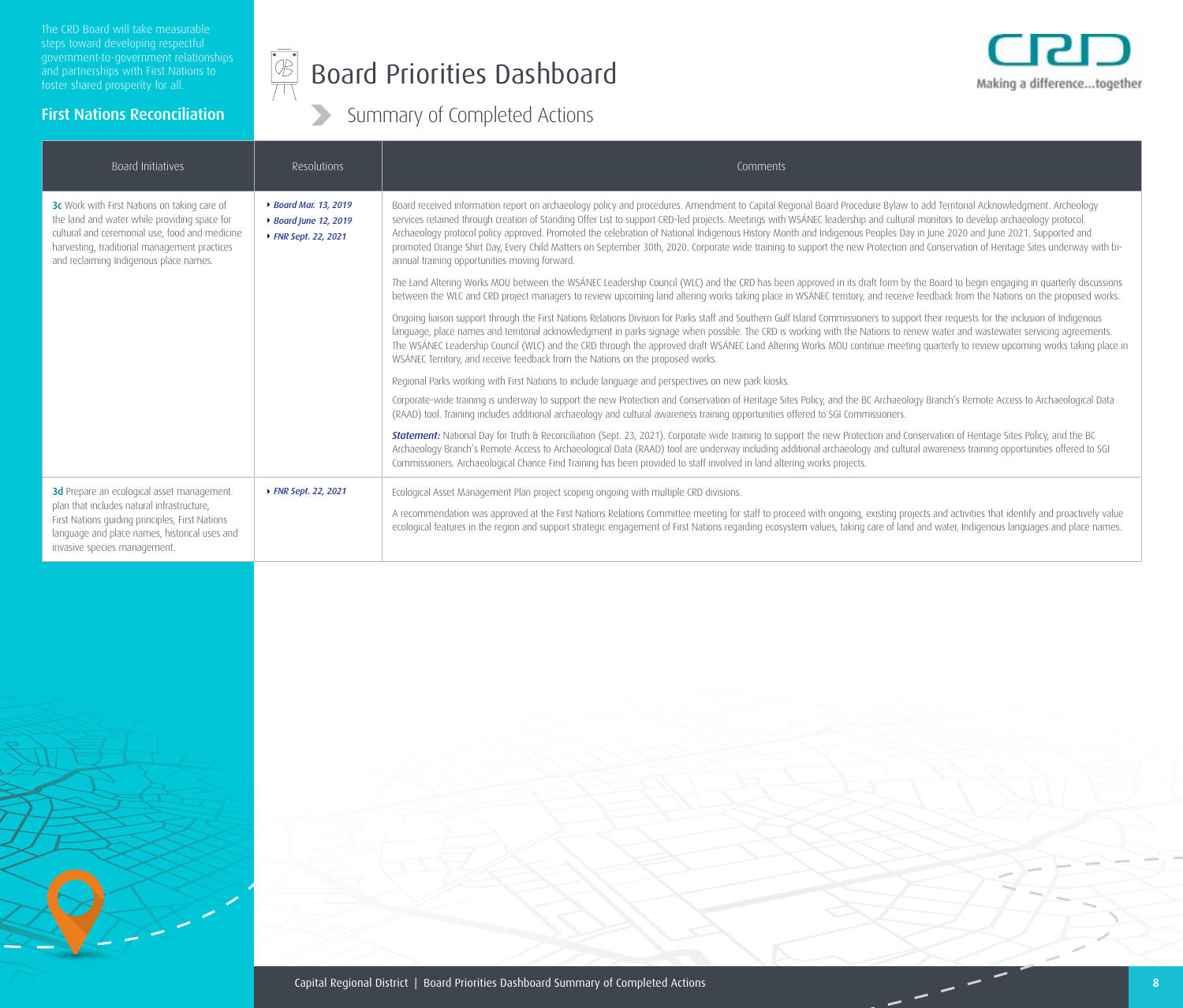First Nations Reconciliation

#### $\begin{picture}(45,10) \put(0,0){\line(1,0){155}} \put(15,0){\line(1,0){155}} \put(15,0){\line(1,0){155}} \put(15,0){\line(1,0){155}} \put(15,0){\line(1,0){155}} \put(15,0){\line(1,0){155}} \put(15,0){\line(1,0){155}} \put(15,0){\line(1,0){155}} \put(15,0){\line(1,0){155}} \put(15,0){\line(1,0){155}} \put(15,0){\line(1,0){155}} \$ Board Priorities Dashboard



| Board Initiatives                                                                                                                                                                                                                        | Resolutions                                                            | Comments                                                                                                                                                                                                                                                                                                                                                                                                                                                                                                                                                                                                                                                                                                                                                                      |
|------------------------------------------------------------------------------------------------------------------------------------------------------------------------------------------------------------------------------------------|------------------------------------------------------------------------|-------------------------------------------------------------------------------------------------------------------------------------------------------------------------------------------------------------------------------------------------------------------------------------------------------------------------------------------------------------------------------------------------------------------------------------------------------------------------------------------------------------------------------------------------------------------------------------------------------------------------------------------------------------------------------------------------------------------------------------------------------------------------------|
| 3c Work with First Nations on taking care of<br>the land and water while providing space for<br>cultural and ceremonial use, food and medicine<br>harvesting, traditional management practices<br>and reclaiming Indigenous place names. | ▶ Board Mar. 13, 2019<br>▶ Board June 12, 2019<br>▶ FNR Sept. 22, 2021 | Board received information report on archaeology policy and procedures. Amendment to Capital Regional Board Procedure Bylaw to add Territorial Acknowledgment. Archeology<br>services retained through creation of Standing Offer List to support CRD-led projects. Meetings with WSÁNEC leadership and cultural monitors to develop archaeology protocol.<br>Archaeology protocol policy approved. Promoted the celebration of National Indigenous History Month and Indigenous Peoples Day in June 2020 and June 2021. Supported and<br>promoted Orange Shirt Day, Every Child Matters on September 30th, 2020. Corporate wide training to support the new Protection and Conservation of Heritage Sites underway with bi-<br>annual training opportunities moving forward. |
|                                                                                                                                                                                                                                          |                                                                        | The Land Altering Works MOU between the WSÁNEC Leadership Council (WLC) and the CRD has been approved in its draft form by the Board to begin engaging in quarterly discussions<br>between the WLC and CRD project managers to review upcoming land altering works taking place in WSÁNEC territory, and receive feedback from the Nations on the proposed works.                                                                                                                                                                                                                                                                                                                                                                                                             |
|                                                                                                                                                                                                                                          |                                                                        | Ongoing liaison support through the First Nations Relations Division for Parks staff and Southern Gulf Island Commissioners to support their requests for the inclusion of Indigenous<br>language, place names and territorial acknowledgment in parks signage when possible. The CRD is working with the Nations to renew water and wastewater servicing agreements.<br>The WSÁNEC Leadership Council (WLC) and the CRD through the approved draft WSÁNEC Land Altering Works MOU continue meeting quarterly to review upcoming works taking place in<br>WSÁNEC Territory, and receive feedback from the Nations on the proposed works.                                                                                                                                      |
|                                                                                                                                                                                                                                          |                                                                        | Regional Parks working with First Nations to include language and perspectives on new park kiosks.                                                                                                                                                                                                                                                                                                                                                                                                                                                                                                                                                                                                                                                                            |
|                                                                                                                                                                                                                                          |                                                                        | Corporate-wide training is underway to support the new Protection and Conservation of Heritage Sites Policy, and the BC Archaeology Branch's Remote Access to Archaeological Data<br>(RAAD) tool. Training includes additional archaeology and cultural awareness training opportunities offered to SGI Commissioners.                                                                                                                                                                                                                                                                                                                                                                                                                                                        |
|                                                                                                                                                                                                                                          |                                                                        | Statement: National Day for Truth & Reconciliation (Sept. 23, 2021). Corporate wide training to support the new Protection and Conservation of Heritage Sites Policy, and the BC<br>Archaeology Branch's Remote Access to Archaeological Data (RAAD) tool are underway including additional archaeology and cultural awareness training opportunities offered to SGI<br>Commissioners. Archaeological Chance Find Training has been provided to staff involved in land altering works projects.                                                                                                                                                                                                                                                                               |
| 3d Prepare an ecological asset management                                                                                                                                                                                                | ▶ FNR Sept. 22, 2021                                                   | Ecological Asset Management Plan project scoping ongoing with multiple CRD divisions.                                                                                                                                                                                                                                                                                                                                                                                                                                                                                                                                                                                                                                                                                         |
| plan that includes natural infrastructure,<br>First Nations guiding principles, First Nations<br>language and place names, historical uses and<br>invasive species management.                                                           |                                                                        | A recommendation was approved at the First Nations Relations Committee meeting for staff to proceed with ongoing, existing projects and activities that identify and proactively value<br>ecological features in the region and support strategic engagement of First Nations regarding ecosystem values, taking care of land and water, Indigenous languages and place names.                                                                                                                                                                                                                                                                                                                                                                                                |

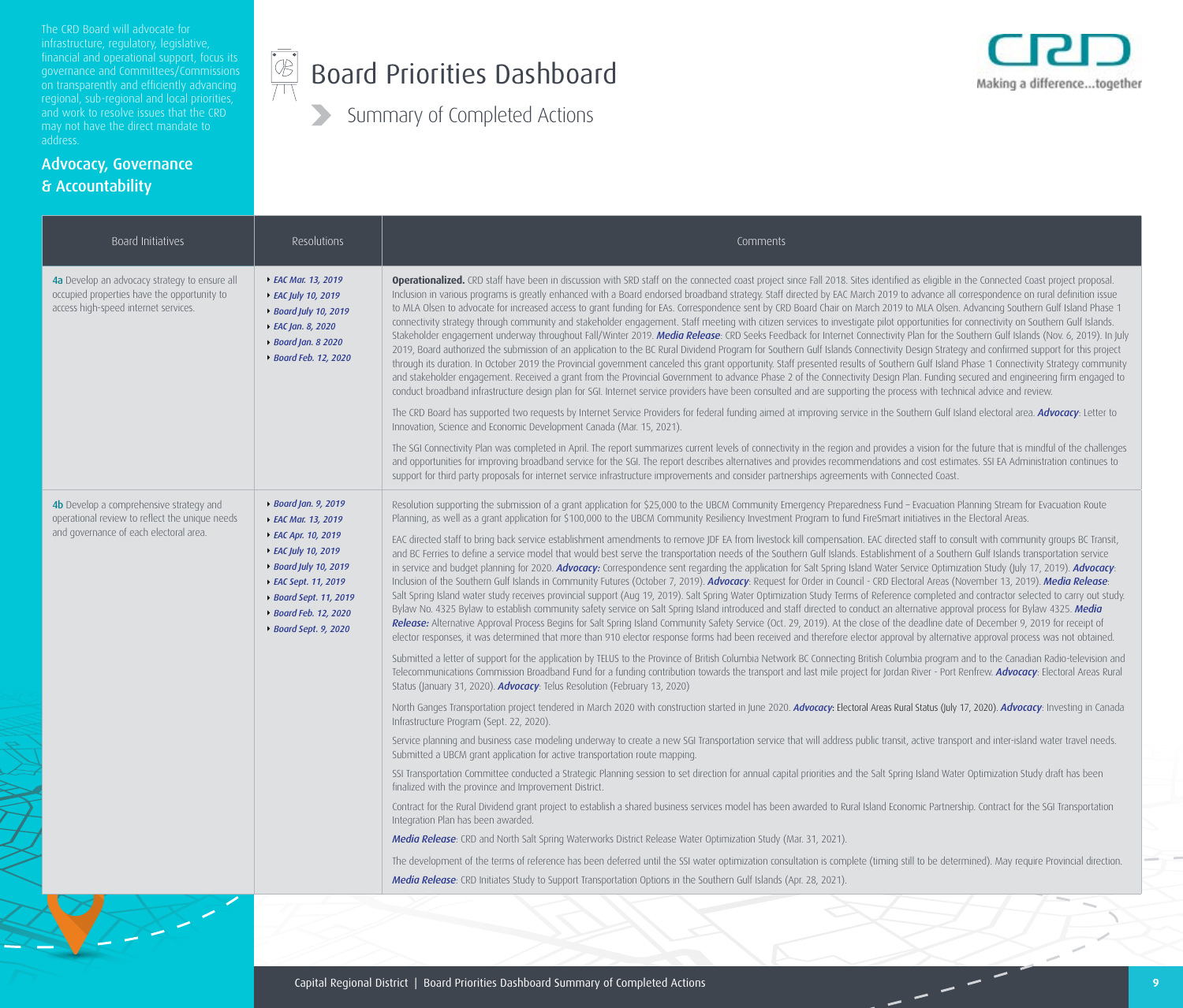The CRD Board will advocate for financial and operational support, focus its on transparently and efficiently advancing and work to resolve issues that the CRD address.

 $\sum_{i=1}^n \sum_{j=1}^n$ 

Advocacy, Governance

& Accountability

#### $\begin{picture}(45,17) \put(0,0){\line(1,0){155}} \put(15,0){\line(1,0){155}} \put(15,0){\line(1,0){155}} \put(15,0){\line(1,0){155}} \put(15,0){\line(1,0){155}} \put(15,0){\line(1,0){155}} \put(15,0){\line(1,0){155}} \put(15,0){\line(1,0){155}} \put(15,0){\line(1,0){155}} \put(15,0){\line(1,0){155}} \put(15,0){\line(1,0){155}} \$ Board Priorities Dashboard



| Board Initiatives                                                                                                                                                                                                                                                                                                                                             | Resolutions                                                                                                                                                                                                                                                                                                                                                                                                                                                                                                                                                                                                                                                                                                                                                                                                                                                                                                                                                                                                                                                                                                                                                                                                                                                                                                                                                                                                                                                                                                                                                                                                                                                                                                                                                                                                                                                           | Comments                                                                                                                                                                                                                                                                                                                                                                                                                                                                                                                                                                                                                                                                                                                                                                                                                                                                                                                                                                                                                                                                                                                                                                                                                                                                                                                                                                                                                                                                                                                                                                                                                                                                                                                                                                                                                                                                                                                                                                                                                                                                                                                                                                                                                                                                                                                                                                                                                                                                                                        |
|---------------------------------------------------------------------------------------------------------------------------------------------------------------------------------------------------------------------------------------------------------------------------------------------------------------------------------------------------------------|-----------------------------------------------------------------------------------------------------------------------------------------------------------------------------------------------------------------------------------------------------------------------------------------------------------------------------------------------------------------------------------------------------------------------------------------------------------------------------------------------------------------------------------------------------------------------------------------------------------------------------------------------------------------------------------------------------------------------------------------------------------------------------------------------------------------------------------------------------------------------------------------------------------------------------------------------------------------------------------------------------------------------------------------------------------------------------------------------------------------------------------------------------------------------------------------------------------------------------------------------------------------------------------------------------------------------------------------------------------------------------------------------------------------------------------------------------------------------------------------------------------------------------------------------------------------------------------------------------------------------------------------------------------------------------------------------------------------------------------------------------------------------------------------------------------------------------------------------------------------------|-----------------------------------------------------------------------------------------------------------------------------------------------------------------------------------------------------------------------------------------------------------------------------------------------------------------------------------------------------------------------------------------------------------------------------------------------------------------------------------------------------------------------------------------------------------------------------------------------------------------------------------------------------------------------------------------------------------------------------------------------------------------------------------------------------------------------------------------------------------------------------------------------------------------------------------------------------------------------------------------------------------------------------------------------------------------------------------------------------------------------------------------------------------------------------------------------------------------------------------------------------------------------------------------------------------------------------------------------------------------------------------------------------------------------------------------------------------------------------------------------------------------------------------------------------------------------------------------------------------------------------------------------------------------------------------------------------------------------------------------------------------------------------------------------------------------------------------------------------------------------------------------------------------------------------------------------------------------------------------------------------------------------------------------------------------------------------------------------------------------------------------------------------------------------------------------------------------------------------------------------------------------------------------------------------------------------------------------------------------------------------------------------------------------------------------------------------------------------------------------------------------------|
| 4a Develop an advocacy strategy to ensure all<br>occupied properties have the opportunity to<br>access high-speed internet services.                                                                                                                                                                                                                          | ▶ EAC Mar. 13, 2019<br>▶ EAC July 10, 2019<br>▶ Board July 10, 2019<br>▶ EAC Jan. 8, 2020<br>▶ Board Jan. 8 2020<br>▶ Board Feb. 12, 2020                                                                                                                                                                                                                                                                                                                                                                                                                                                                                                                                                                                                                                                                                                                                                                                                                                                                                                                                                                                                                                                                                                                                                                                                                                                                                                                                                                                                                                                                                                                                                                                                                                                                                                                             | Operationalized. CRD staff have been in discussion with SRD staff on the connected coast project since Fall 2018. Sites identified as eligible in the Connected Coast project proposal.<br>Inclusion in various programs is greatly enhanced with a Board endorsed broadband strategy. Staff directed by EAC March 2019 to advance all correspondence on rural definition issue<br>to MLA Olsen to advocate for increased access to grant funding for EAs. Correspondence sent by CRD Board Chair on March 2019 to MLA Olsen. Advancing Southern Gulf Island Phase 1<br>connectivity strategy through community and stakeholder engagement. Staff meeting with citizen services to investigate pilot opportunities for connectivity on Southern Gulf Islands.<br>Stakeholder engagement underway throughout Fall/Winter 2019. Media Release: CRD Seeks Feedback for Internet Connectivity Plan for the Southern Gulf Islands (Nov. 6, 2019). In July<br>2019, Board authorized the submission of an application to the BC Rural Dividend Program for Southern Gulf Islands Connectivity Design Strategy and confirmed support for this project<br>through its duration. In October 2019 the Provincial government canceled this grant opportunity. Staff presented results of Southern Gulf Island Phase 1 Connectivity Strategy community<br>and stakeholder engagement. Received a grant from the Provincial Government to advance Phase 2 of the Connectivity Design Plan. Funding secured and engineering firm engaged to<br>conduct broadband infrastructure design plan for SGI. Internet service providers have been consulted and are supporting the process with technical advice and review.<br>The CRD Board has supported two requests by Internet Service Providers for federal funding aimed at improving service in the Southern Gulf Island electoral area. Advocacy: Letter to<br>Innovation, Science and Economic Development Canada (Mar. 15, 2021).<br>The SGI Connectivity Plan was completed in April. The report summarizes current levels of connectivity in the region and provides a vision for the future that is mindful of the challenges<br>and opportunities for improving broadband service for the SGI. The report describes alternatives and provides recommendations and cost estimates. SSI EA Administration continues to<br>support for third party proposals for internet service infrastructure improvements and consider partnerships agreements with Connected Coast. |
| 4b Develop a comprehensive strategy and<br>▶ Board Jan. 9, 2019<br>operational review to reflect the unique needs<br>▶ EAC Mar. 13, 2019<br>and governance of each electoral area.<br>▶ EAC Apr. 10, 2019<br>▶ EAC July 10, 2019<br>▶ Board July 10, 2019<br>▶ EAC Sept. 11, 2019<br>▶ Board Sept. 11, 2019<br>▶ Board Feb. 12, 2020<br>▶ Board Sept. 9, 2020 | Resolution supporting the submission of a grant application for \$25,000 to the UBCM Community Emergency Preparedness Fund - Evacuation Planning Stream for Evacuation Route<br>Planning, as well as a grant application for \$100,000 to the UBCM Community Resiliency Investment Program to fund FireSmart initiatives in the Electoral Areas.<br>EAC directed staff to bring back service establishment amendments to remove JDF EA from livestock kill compensation. EAC directed staff to consult with community groups BC Transit,<br>and BC Ferries to define a service model that would best serve the transportation needs of the Southern Gulf Islands. Establishment of a Southern Gulf Islands transportation service<br>in service and budget planning for 2020. Advocacy: Correspondence sent regarding the application for Salt Spring Island Water Service Optimization Study (July 17, 2019). Advocacy:<br>Inclusion of the Southern Gulf Islands in Community Futures (October 7, 2019). Advocacy: Request for Order in Council - CRD Electoral Areas (November 13, 2019). Media Release:<br>Salt Spring Island water study receives provincial support (Aug 19, 2019). Salt Spring Water Optimization Study Terms of Reference completed and contractor selected to carry out study.<br>Bylaw No. 4325 Bylaw to establish community safety service on Salt Spring Island introduced and staff directed to conduct an alternative approval process for Bylaw 4325. Media<br>Release: Alternative Approval Process Begins for Salt Spring Island Community Safety Service (Oct. 29, 2019). At the close of the deadline date of December 9, 2019 for receipt of<br>elector responses, it was determined that more than 910 elector response forms had been received and therefore elector approval by alternative approval process was not obtained. |                                                                                                                                                                                                                                                                                                                                                                                                                                                                                                                                                                                                                                                                                                                                                                                                                                                                                                                                                                                                                                                                                                                                                                                                                                                                                                                                                                                                                                                                                                                                                                                                                                                                                                                                                                                                                                                                                                                                                                                                                                                                                                                                                                                                                                                                                                                                                                                                                                                                                                                 |
|                                                                                                                                                                                                                                                                                                                                                               |                                                                                                                                                                                                                                                                                                                                                                                                                                                                                                                                                                                                                                                                                                                                                                                                                                                                                                                                                                                                                                                                                                                                                                                                                                                                                                                                                                                                                                                                                                                                                                                                                                                                                                                                                                                                                                                                       | Submitted a letter of support for the application by TELUS to the Province of British Columbia Network BC Connecting British Columbia program and to the Canadian Radio-television and<br>Telecommunications Commission Broadband Fund for a funding contribution towards the transport and last mile project for Jordan River - Port Renfrew. Advocacy: Electoral Areas Rural<br>Status (January 31, 2020). Advocacy: Telus Resolution (February 13, 2020)                                                                                                                                                                                                                                                                                                                                                                                                                                                                                                                                                                                                                                                                                                                                                                                                                                                                                                                                                                                                                                                                                                                                                                                                                                                                                                                                                                                                                                                                                                                                                                                                                                                                                                                                                                                                                                                                                                                                                                                                                                                     |
|                                                                                                                                                                                                                                                                                                                                                               |                                                                                                                                                                                                                                                                                                                                                                                                                                                                                                                                                                                                                                                                                                                                                                                                                                                                                                                                                                                                                                                                                                                                                                                                                                                                                                                                                                                                                                                                                                                                                                                                                                                                                                                                                                                                                                                                       | North Ganges Transportation project tendered in March 2020 with construction started in June 2020. Advocacy: Electoral Areas Rural Status (July 17, 2020). Advocacy: Investing in Canada<br>Infrastructure Program (Sept. 22, 2020).                                                                                                                                                                                                                                                                                                                                                                                                                                                                                                                                                                                                                                                                                                                                                                                                                                                                                                                                                                                                                                                                                                                                                                                                                                                                                                                                                                                                                                                                                                                                                                                                                                                                                                                                                                                                                                                                                                                                                                                                                                                                                                                                                                                                                                                                            |
|                                                                                                                                                                                                                                                                                                                                                               |                                                                                                                                                                                                                                                                                                                                                                                                                                                                                                                                                                                                                                                                                                                                                                                                                                                                                                                                                                                                                                                                                                                                                                                                                                                                                                                                                                                                                                                                                                                                                                                                                                                                                                                                                                                                                                                                       | Service planning and business case modeling underway to create a new SGI Transportation service that will address public transit, active transport and inter-island water travel needs.<br>Submitted a UBCM grant application for active transportation route mapping.                                                                                                                                                                                                                                                                                                                                                                                                                                                                                                                                                                                                                                                                                                                                                                                                                                                                                                                                                                                                                                                                                                                                                                                                                                                                                                                                                                                                                                                                                                                                                                                                                                                                                                                                                                                                                                                                                                                                                                                                                                                                                                                                                                                                                                          |
|                                                                                                                                                                                                                                                                                                                                                               |                                                                                                                                                                                                                                                                                                                                                                                                                                                                                                                                                                                                                                                                                                                                                                                                                                                                                                                                                                                                                                                                                                                                                                                                                                                                                                                                                                                                                                                                                                                                                                                                                                                                                                                                                                                                                                                                       | SSI Transportation Committee conducted a Strategic Planning session to set direction for annual capital priorities and the Salt Spring Island Water Optimization Study draft has been<br>finalized with the province and Improvement District.                                                                                                                                                                                                                                                                                                                                                                                                                                                                                                                                                                                                                                                                                                                                                                                                                                                                                                                                                                                                                                                                                                                                                                                                                                                                                                                                                                                                                                                                                                                                                                                                                                                                                                                                                                                                                                                                                                                                                                                                                                                                                                                                                                                                                                                                  |
|                                                                                                                                                                                                                                                                                                                                                               |                                                                                                                                                                                                                                                                                                                                                                                                                                                                                                                                                                                                                                                                                                                                                                                                                                                                                                                                                                                                                                                                                                                                                                                                                                                                                                                                                                                                                                                                                                                                                                                                                                                                                                                                                                                                                                                                       | Contract for the Rural Dividend grant project to establish a shared business services model has been awarded to Rural Island Economic Partnership. Contract for the SGI Transportation<br>Integration Plan has been awarded.                                                                                                                                                                                                                                                                                                                                                                                                                                                                                                                                                                                                                                                                                                                                                                                                                                                                                                                                                                                                                                                                                                                                                                                                                                                                                                                                                                                                                                                                                                                                                                                                                                                                                                                                                                                                                                                                                                                                                                                                                                                                                                                                                                                                                                                                                    |
|                                                                                                                                                                                                                                                                                                                                                               |                                                                                                                                                                                                                                                                                                                                                                                                                                                                                                                                                                                                                                                                                                                                                                                                                                                                                                                                                                                                                                                                                                                                                                                                                                                                                                                                                                                                                                                                                                                                                                                                                                                                                                                                                                                                                                                                       | Media Release: CRD and North Salt Spring Waterworks District Release Water Optimization Study (Mar. 31, 2021).                                                                                                                                                                                                                                                                                                                                                                                                                                                                                                                                                                                                                                                                                                                                                                                                                                                                                                                                                                                                                                                                                                                                                                                                                                                                                                                                                                                                                                                                                                                                                                                                                                                                                                                                                                                                                                                                                                                                                                                                                                                                                                                                                                                                                                                                                                                                                                                                  |
|                                                                                                                                                                                                                                                                                                                                                               |                                                                                                                                                                                                                                                                                                                                                                                                                                                                                                                                                                                                                                                                                                                                                                                                                                                                                                                                                                                                                                                                                                                                                                                                                                                                                                                                                                                                                                                                                                                                                                                                                                                                                                                                                                                                                                                                       | The development of the terms of reference has been deferred until the SSI water optimization consultation is complete (timing still to be determined). May require Provincial direction.                                                                                                                                                                                                                                                                                                                                                                                                                                                                                                                                                                                                                                                                                                                                                                                                                                                                                                                                                                                                                                                                                                                                                                                                                                                                                                                                                                                                                                                                                                                                                                                                                                                                                                                                                                                                                                                                                                                                                                                                                                                                                                                                                                                                                                                                                                                        |
|                                                                                                                                                                                                                                                                                                                                                               |                                                                                                                                                                                                                                                                                                                                                                                                                                                                                                                                                                                                                                                                                                                                                                                                                                                                                                                                                                                                                                                                                                                                                                                                                                                                                                                                                                                                                                                                                                                                                                                                                                                                                                                                                                                                                                                                       | Media Release: CRD Initiates Study to Support Transportation Options in the Southern Gulf Islands (Apr. 28, 2021).                                                                                                                                                                                                                                                                                                                                                                                                                                                                                                                                                                                                                                                                                                                                                                                                                                                                                                                                                                                                                                                                                                                                                                                                                                                                                                                                                                                                                                                                                                                                                                                                                                                                                                                                                                                                                                                                                                                                                                                                                                                                                                                                                                                                                                                                                                                                                                                              |
|                                                                                                                                                                                                                                                                                                                                                               |                                                                                                                                                                                                                                                                                                                                                                                                                                                                                                                                                                                                                                                                                                                                                                                                                                                                                                                                                                                                                                                                                                                                                                                                                                                                                                                                                                                                                                                                                                                                                                                                                                                                                                                                                                                                                                                                       |                                                                                                                                                                                                                                                                                                                                                                                                                                                                                                                                                                                                                                                                                                                                                                                                                                                                                                                                                                                                                                                                                                                                                                                                                                                                                                                                                                                                                                                                                                                                                                                                                                                                                                                                                                                                                                                                                                                                                                                                                                                                                                                                                                                                                                                                                                                                                                                                                                                                                                                 |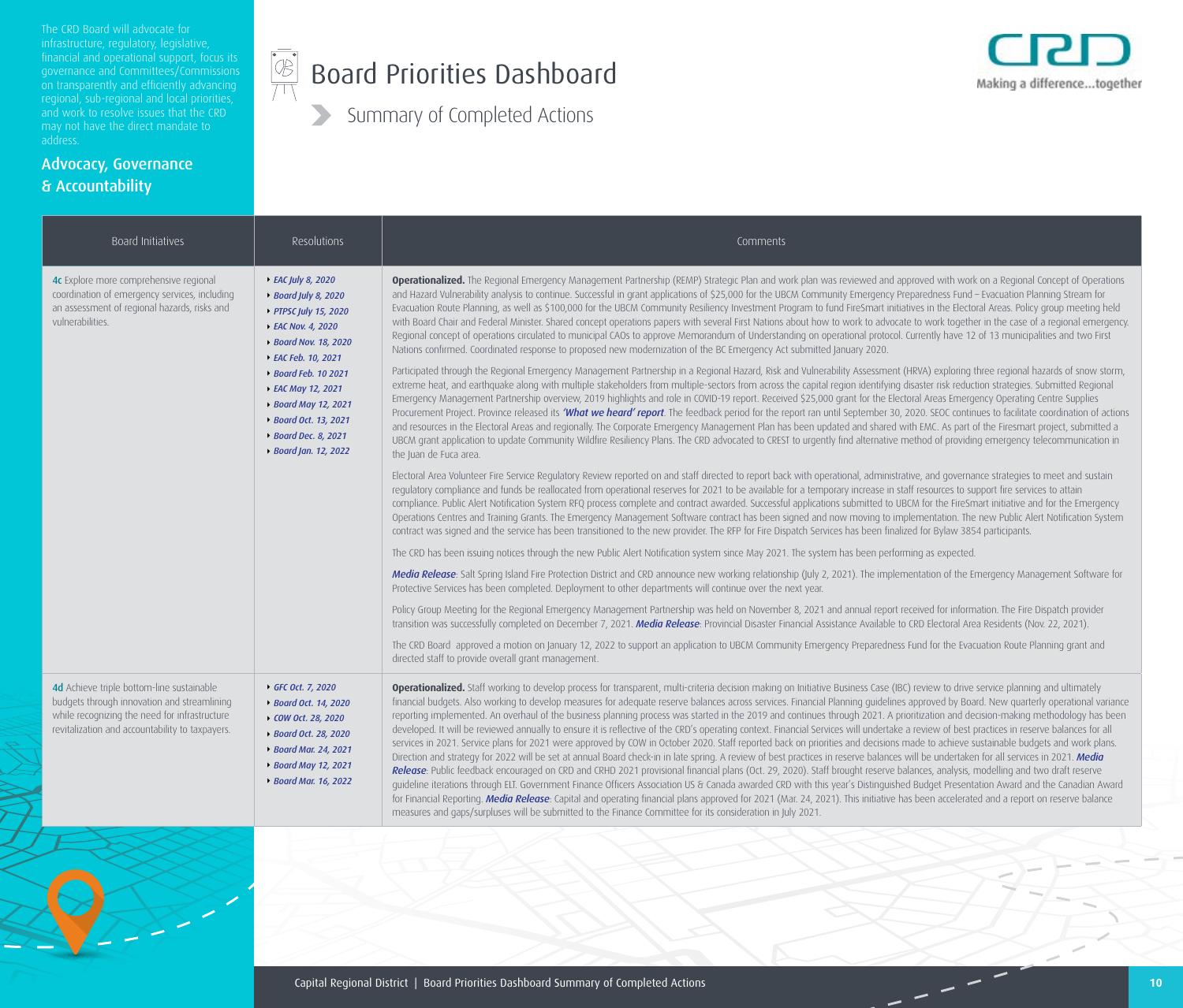The CRD Board will advocate for financial and operational support, focus its on transparently and efficiently advancing and work to resolve issues that the CRD address.

Advocacy, Governance

& Accountability

#### $\begin{picture}(45,17) \put(0,0){\line(1,0){155}} \put(15,0){\line(1,0){155}} \put(15,0){\line(1,0){155}} \put(15,0){\line(1,0){155}} \put(15,0){\line(1,0){155}} \put(15,0){\line(1,0){155}} \put(15,0){\line(1,0){155}} \put(15,0){\line(1,0){155}} \put(15,0){\line(1,0){155}} \put(15,0){\line(1,0){155}} \put(15,0){\line(1,0){155}} \$ Board Priorities Dashboard



| Board Initiatives                                                                                                                                                                                                                                                                                                                                                                                                                                        | Resolutions                                                                                                                                                           | Comments                                                                                                                                                                                                                                                                                                                                                                                                                                                                                                                                                                                                                                                                                                                                                                                                                                                                                                                                                                                                                                                                                                                                                                                                                                                                                                                                                                                                                                                                                                                                                                                                                                                                                                                                                                                                                                                                                                                                                                                                                                                                                                                                                                                                                                                                                                                                                                                                                                                                                                                                                                                                                                                                                                                                                                                     |
|----------------------------------------------------------------------------------------------------------------------------------------------------------------------------------------------------------------------------------------------------------------------------------------------------------------------------------------------------------------------------------------------------------------------------------------------------------|-----------------------------------------------------------------------------------------------------------------------------------------------------------------------|----------------------------------------------------------------------------------------------------------------------------------------------------------------------------------------------------------------------------------------------------------------------------------------------------------------------------------------------------------------------------------------------------------------------------------------------------------------------------------------------------------------------------------------------------------------------------------------------------------------------------------------------------------------------------------------------------------------------------------------------------------------------------------------------------------------------------------------------------------------------------------------------------------------------------------------------------------------------------------------------------------------------------------------------------------------------------------------------------------------------------------------------------------------------------------------------------------------------------------------------------------------------------------------------------------------------------------------------------------------------------------------------------------------------------------------------------------------------------------------------------------------------------------------------------------------------------------------------------------------------------------------------------------------------------------------------------------------------------------------------------------------------------------------------------------------------------------------------------------------------------------------------------------------------------------------------------------------------------------------------------------------------------------------------------------------------------------------------------------------------------------------------------------------------------------------------------------------------------------------------------------------------------------------------------------------------------------------------------------------------------------------------------------------------------------------------------------------------------------------------------------------------------------------------------------------------------------------------------------------------------------------------------------------------------------------------------------------------------------------------------------------------------------------------|
| 4c Explore more comprehensive regional<br>▶ EAC July 8, 2020<br>coordination of emergency services, including<br>▶ Board July 8, 2020<br>an assessment of regional hazards, risks and<br>▶ PTPSC July 15, 2020<br>vulnerabilities.<br>▶ EAC Nov. 4, 2020<br>▶ Board Nov. 18, 2020<br>▶ EAC Feb. 10, 2021<br>▶ Board Feb. 10 2021<br>▶ EAC May 12, 2021<br>▶ Board May 12, 2021<br>▶ Board Oct. 13, 2021<br>▶ Board Dec. 8, 2021<br>▶ Board Jan. 12, 2022 |                                                                                                                                                                       | Operationalized. The Regional Emergency Management Partnership (REMP) Strategic Plan and work plan was reviewed and approved with work on a Regional Concept of Operations<br>and Hazard Vulnerability analysis to continue. Successful in grant applications of \$25,000 for the UBCM Community Emergency Preparedness Fund - Evacuation Planning Stream for<br>Evacuation Route Planning, as well as \$100,000 for the UBCM Community Resiliency Investment Program to fund FireSmart initiatives in the Electoral Areas. Policy group meeting held<br>with Board Chair and Federal Minister. Shared concept operations papers with several First Nations about how to work to advocate to work together in the case of a regional emergency.<br>Regional concept of operations circulated to municipal CAOs to approve Memorandum of Understanding on operational protocol. Currently have 12 of 13 municipalities and two First<br>Nations confirmed. Coordinated response to proposed new modernization of the BC Emergency Act submitted January 2020.<br>Participated through the Regional Emergency Management Partnership in a Regional Hazard, Risk and Vulnerability Assessment (HRVA) exploring three regional hazards of snow storm,<br>extreme heat, and earthquake along with multiple stakeholders from multiple-sectors from across the capital region identifying disaster risk reduction strategies. Submitted Regional<br>Emergency Management Partnership overview, 2019 highlights and role in COVID-19 report. Received \$25,000 grant for the Electoral Areas Emergency Operating Centre Supplies<br>Procurement Project. Province released its 'What we heard' report. The feedback period for the report ran until September 30, 2020. SEOC continues to facilitate coordination of actions<br>and resources in the Electoral Areas and regionally. The Corporate Emergency Management Plan has been updated and shared with EMC. As part of the Firesmart project, submitted a<br>UBCM grant application to update Community Wildfire Resiliency Plans. The CRD advocated to CREST to urgently find alternative method of providing emergency telecommunication in<br>the Juan de Fuca area.<br>Electoral Area Volunteer Fire Service Regulatory Review reported on and staff directed to report back with operational, administrative, and governance strategies to meet and sustain<br>regulatory compliance and funds be reallocated from operational reserves for 2021 to be available for a temporary increase in staff resources to support fire services to attain<br>compliance. Public Alert Notification System RFQ process complete and contract awarded. Successful applications submitted to UBCM for the FireSmart initiative and for the Emergency |
|                                                                                                                                                                                                                                                                                                                                                                                                                                                          |                                                                                                                                                                       | Operations Centres and Training Grants. The Emergency Management Software contract has been signed and now moving to implementation. The new Public Alert Notification System<br>contract was signed and the service has been transitioned to the new provider. The RFP for Fire Dispatch Services has been finalized for Bylaw 3854 participants.                                                                                                                                                                                                                                                                                                                                                                                                                                                                                                                                                                                                                                                                                                                                                                                                                                                                                                                                                                                                                                                                                                                                                                                                                                                                                                                                                                                                                                                                                                                                                                                                                                                                                                                                                                                                                                                                                                                                                                                                                                                                                                                                                                                                                                                                                                                                                                                                                                           |
|                                                                                                                                                                                                                                                                                                                                                                                                                                                          |                                                                                                                                                                       | The CRD has been issuing notices through the new Public Alert Notification system since May 2021. The system has been performing as expected.                                                                                                                                                                                                                                                                                                                                                                                                                                                                                                                                                                                                                                                                                                                                                                                                                                                                                                                                                                                                                                                                                                                                                                                                                                                                                                                                                                                                                                                                                                                                                                                                                                                                                                                                                                                                                                                                                                                                                                                                                                                                                                                                                                                                                                                                                                                                                                                                                                                                                                                                                                                                                                                |
|                                                                                                                                                                                                                                                                                                                                                                                                                                                          |                                                                                                                                                                       | Media Release: Salt Spring Island Fire Protection District and CRD announce new working relationship (July 2, 2021). The implementation of the Emergency Management Software for<br>Protective Services has been completed. Deployment to other departments will continue over the next year.                                                                                                                                                                                                                                                                                                                                                                                                                                                                                                                                                                                                                                                                                                                                                                                                                                                                                                                                                                                                                                                                                                                                                                                                                                                                                                                                                                                                                                                                                                                                                                                                                                                                                                                                                                                                                                                                                                                                                                                                                                                                                                                                                                                                                                                                                                                                                                                                                                                                                                |
|                                                                                                                                                                                                                                                                                                                                                                                                                                                          |                                                                                                                                                                       | Policy Group Meeting for the Regional Emergency Management Partnership was held on November 8, 2021 and annual report received for information. The Fire Dispatch provider<br>transition was successfully completed on December 7, 2021. Media Release: Provincial Disaster Financial Assistance Available to CRD Electoral Area Residents (Nov. 22, 2021).                                                                                                                                                                                                                                                                                                                                                                                                                                                                                                                                                                                                                                                                                                                                                                                                                                                                                                                                                                                                                                                                                                                                                                                                                                                                                                                                                                                                                                                                                                                                                                                                                                                                                                                                                                                                                                                                                                                                                                                                                                                                                                                                                                                                                                                                                                                                                                                                                                  |
|                                                                                                                                                                                                                                                                                                                                                                                                                                                          |                                                                                                                                                                       | The CRD Board approved a motion on January 12, 2022 to support an application to UBCM Community Emergency Preparedness Fund for the Evacuation Route Planning grant and<br>directed staff to provide overall grant management.                                                                                                                                                                                                                                                                                                                                                                                                                                                                                                                                                                                                                                                                                                                                                                                                                                                                                                                                                                                                                                                                                                                                                                                                                                                                                                                                                                                                                                                                                                                                                                                                                                                                                                                                                                                                                                                                                                                                                                                                                                                                                                                                                                                                                                                                                                                                                                                                                                                                                                                                                               |
| 4d Achieve triple bottom-line sustainable<br>budgets through innovation and streamlining<br>while recognizing the need for infrastructure<br>revitalization and accountability to taxpayers.                                                                                                                                                                                                                                                             | ↑ GFC Oct. 7, 2020<br>▶ Board Oct. 14, 2020<br>▶ COW Oct. 28, 2020<br>▶ Board Oct. 28, 2020<br>▶ Board Mar. 24, 2021<br>▶ Board May 12, 2021<br>▶ Board Mar. 16, 2022 | <b>Operationalized.</b> Staff working to develop process for transparent, multi-criteria decision making on Initiative Business Case (IBC) review to drive service planning and ultimately<br>financial budgets. Also working to develop measures for adequate reserve balances across services. Financial Planning guidelines approved by Board. New quarterly operational variance<br>reporting implemented. An overhaul of the business planning process was started in the 2019 and continues through 2021. A prioritization and decision-making methodology has been<br>developed. It will be reviewed annually to ensure it is reflective of the CRD's operating context. Financial Services will undertake a review of best practices in reserve balances for all<br>services in 2021. Service plans for 2021 were approved by COW in October 2020. Staff reported back on priorities and decisions made to achieve sustainable budgets and work plans.<br>Direction and strategy for 2022 will be set at annual Board check-in in late spring. A review of best practices in reserve balances will be undertaken for all services in 2021. Media<br>Release: Public feedback encouraged on CRD and CRHD 2021 provisional financial plans (Oct. 29, 2020). Staff brought reserve balances, analysis, modelling and two draft reserve<br>guideline iterations through ELT. Government Finance Officers Association US & Canada awarded CRD with this year's Distinguished Budget Presentation Award and the Canadian Award<br>for Financial Reporting. Media Release: Capital and operating financial plans approved for 2021 (Mar. 24, 2021). This initiative has been accelerated and a report on reserve balance<br>measures and gaps/surpluses will be submitted to the Finance Committee for its consideration in July 2021.                                                                                                                                                                                                                                                                                                                                                                                                                                                                                                                                                                                                                                                                                                                                                                                                                                                                                                                                                      |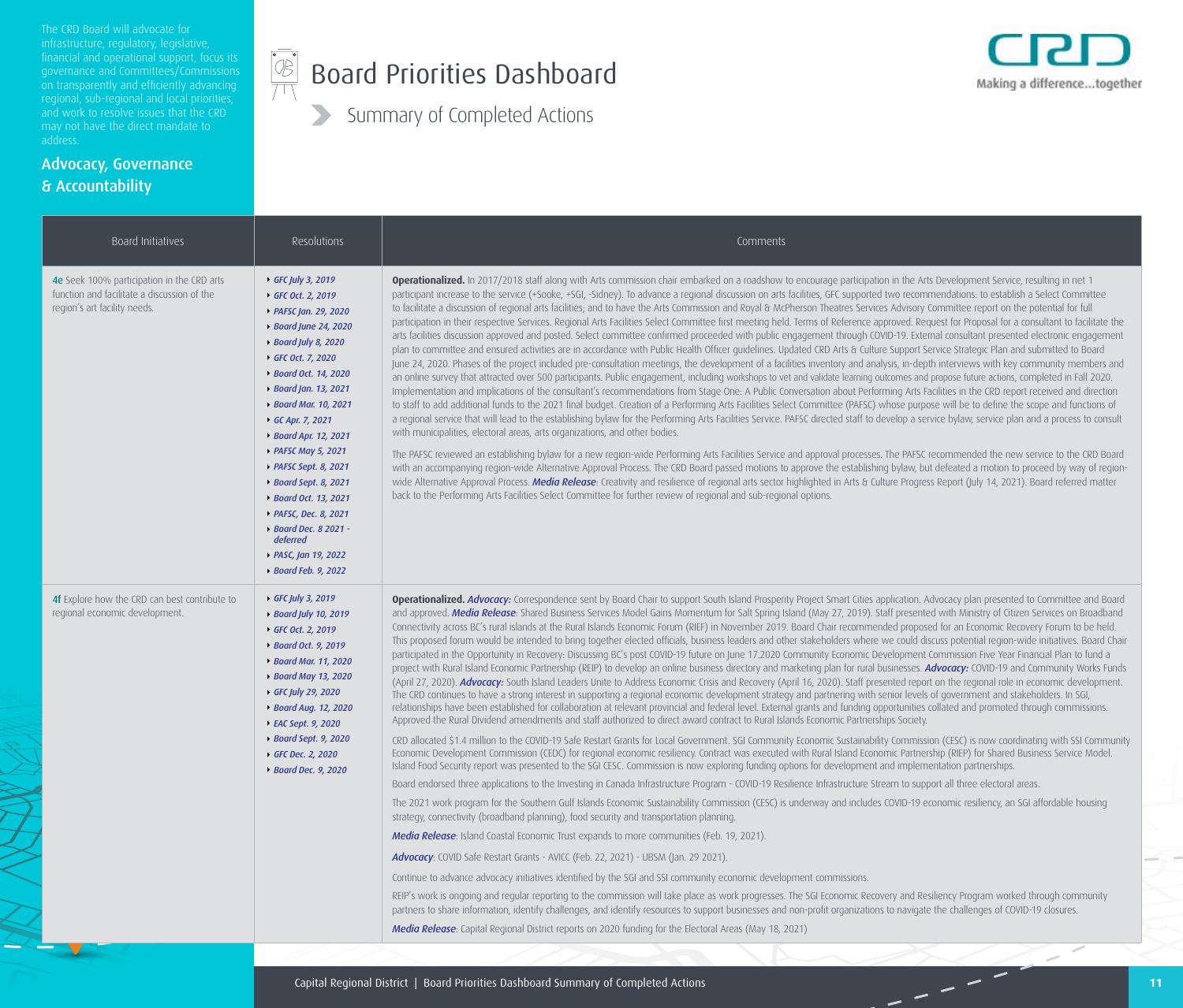The CRD Board will advocate for financial and operational support, focus its on transparently and efficiently advancing and work to resolve issues that the CRD address.

Advocacy, Governance

& Accountability

#### $\begin{picture}(45,17) \put(0,0){\line(1,0){155}} \put(15,0){\line(1,0){155}} \put(15,0){\line(1,0){155}} \put(15,0){\line(1,0){155}} \put(15,0){\line(1,0){155}} \put(15,0){\line(1,0){155}} \put(15,0){\line(1,0){155}} \put(15,0){\line(1,0){155}} \put(15,0){\line(1,0){155}} \put(15,0){\line(1,0){155}} \put(15,0){\line(1,0){155}} \$ Board Priorities Dashboard



| GFC July 3, 2019<br>▶ GFC Oct. 2, 2019<br>▶ PAFSC Jan. 29, 2020<br>▶ Board June 24, 2020<br>▶ Board July 8, 2020<br>▶ GFC Oct. 7, 2020<br>▶ Board Oct. 14, 2020<br>▶ Board Jan. 13, 2021<br>▶ Board Mar. 10, 2021<br>GC Apr. 7, 2021<br>▶ Board Apr. 12, 2021<br>▶ PAFSC May 5, 2021<br>▶ PAFSC Sept. 8, 2021<br>▶ Board Sept. 8, 2021<br>▶ Board Oct. 13, 2021<br>▶ PAFSC, Dec. 8, 2021<br>▶ Board Dec. 8 2021 -<br>deferred<br>▶ PASC, Jan 19, 2022<br>▶ Board Feb. 9, 2022 | Operationalized. In 2017/2018 staff along with Arts commission chair embarked on a roadshow to encourage participation in the Arts Development Service, resulting in net 1<br>participant increase to the service (+Sooke, +SGI, -Sidney). To advance a regional discussion on arts facilities, GFC supported two recommendations: to establish a Select Committee<br>to facilitate a discussion of regional arts facilities; and to have the Arts Commission and Royal & McPherson Theatres Services Advisory Committee report on the potential for full<br>participation in their respective Services. Regional Arts Facilities Select Committee first meeting held. Terms of Reference approved. Request for Proposal for a consultant to facilitate the<br>arts facilities discussion approved and posted. Select committee confirmed proceeded with public engagement through COVID-19. External consultant presented electronic engagement<br>plan to committee and ensured activities are in accordance with Public Health Officer guidelines. Updated CRD Arts & Culture Support Service Strategic Plan and submitted to Board<br>June 24, 2020. Phases of the project included pre-consultation meetings, the development of a facilities inventory and analysis, in-depth interviews with key community members and<br>an online survey that attracted over 500 participants. Public engagement, including workshops to vet and validate learning outcomes and propose future actions, completed in Fall 2020.<br>Implementation and implications of the consultant's recommendations from Stage One: A Public Conversation about Performing Arts Facilities in the CRD report received and direction<br>to staff to add additional funds to the 2021 final budget. Creation of a Performing Arts Facilities Select Committee (PAFSC) whose purpose will be to define the scope and functions of<br>a regional service that will lead to the establishing bylaw for the Performing Arts Facilities Service. PAFSC directed staff to develop a service bylaw, service plan and a process to consult<br>with municipalities, electoral areas, arts organizations, and other bodies.<br>The PAFSC reviewed an establishing bylaw for a new region-wide Performing Arts Facilities Service and approval processes. The PAFSC recommended the new service to the CRD Board<br>with an accompanying region-wide Alternative Approval Process. The CRD Board passed motions to approve the establishing bylaw, but defeated a motion to proceed by way of region-<br>wide Alternative Approval Process. Media Release: Creativity and resilience of regional arts sector highlighted in Arts & Culture Progress Report (July 14, 2021). Board referred matter<br>back to the Performing Arts Facilities Select Committee for further review of regional and sub-regional options.                                                                                                                                                                                                                                                                                                                                                                                                                                                                                                                                                                                                                                                                                                                                     |
|-------------------------------------------------------------------------------------------------------------------------------------------------------------------------------------------------------------------------------------------------------------------------------------------------------------------------------------------------------------------------------------------------------------------------------------------------------------------------------|--------------------------------------------------------------------------------------------------------------------------------------------------------------------------------------------------------------------------------------------------------------------------------------------------------------------------------------------------------------------------------------------------------------------------------------------------------------------------------------------------------------------------------------------------------------------------------------------------------------------------------------------------------------------------------------------------------------------------------------------------------------------------------------------------------------------------------------------------------------------------------------------------------------------------------------------------------------------------------------------------------------------------------------------------------------------------------------------------------------------------------------------------------------------------------------------------------------------------------------------------------------------------------------------------------------------------------------------------------------------------------------------------------------------------------------------------------------------------------------------------------------------------------------------------------------------------------------------------------------------------------------------------------------------------------------------------------------------------------------------------------------------------------------------------------------------------------------------------------------------------------------------------------------------------------------------------------------------------------------------------------------------------------------------------------------------------------------------------------------------------------------------------------------------------------------------------------------------------------------------------------------------------------------------------------------------------------------------------------------------------------------------------------------------------------------------------------------------------------------------------------------------------------------------------------------------------------------------------------------------------------------------------------------------------------------------------------------------------------------------------------------------------------------------------------------------------------------------------------------------------------------------------------------------------------------------------------------------------------------------------------------------------------------------------------------------------------------------------------------------------------------------------------------------------------------------------------------------------------------------------------------------------------------------------------------------------------------------------------------------------------------------------------------------------------------------------------------------------------------------------------------------------------------------------------------------------------------------------------------------------|
| GFC July 3, 2019<br>▶ Board July 10, 2019<br>GFC Oct. 2, 2019<br>▶ Board Oct. 9, 2019<br>▶ Board Mar. 11, 2020<br>▶ Board May 13, 2020<br>▶ GFC July 29, 2020<br>▶ Board Aug. 12, 2020<br>▶ EAC Sept. 9, 2020<br>▶ Board Sept. 9, 2020<br>◆ GFC Dec. 2, 2020<br>▶ Board Dec. 9, 2020                                                                                                                                                                                          | Operationalized. Advocacy: Correspondence sent by Board Chair to support South Island Prosperity Project Smart Cities application. Advocacy plan presented to Committee and Board<br>and approved. Media Release: Shared Business Services Model Gains Momentum for Salt Spring Island (May 27, 2019). Staff presented with Ministry of Citizen Services on Broadband<br>Connectivity across BC's rural islands at the Rural Islands Economic Forum (RIEF) in November 2019. Board Chair recommended proposed for an Economic Recovery Forum to be held.<br>This proposed forum would be intended to bring together elected officials, business leaders and other stakeholders where we could discuss potential region-wide initiatives. Board Chair<br>participated in the Opportunity in Recovery: Discussing BC's post COVID-19 future on June 17.2020 Community Economic Development Commission Five Year Financial Plan to fund a<br>project with Rural Island Economic Partnership (REIP) to develop an online business directory and marketing plan for rural businesses. Advocacy: COVID-19 and Community Works Funds<br>(April 27, 2020). Advocacy: South Island Leaders Unite to Address Economic Crisis and Recovery (April 16, 2020). Staff presented report on the regional role in economic development.<br>The CRD continues to have a strong interest in supporting a regional economic development strategy and partnering with senior levels of government and stakeholders. In SGI,<br>relationships have been established for collaboration at relevant provincial and federal level. External grants and funding opportunities collated and promoted through commissions.<br>Approved the Rural Dividend amendments and staff authorized to direct award contract to Rural Islands Economic Partnerships Society.<br>CRD allocated \$1.4 million to the COVID-19 Safe Restart Grants for Local Government. SGI Community Economic Sustainability Commission (CESC) is now coordinating with SSI Community<br>Economic Development Commission (CEDC) for regional economic resiliency. Contract was executed with Rural Island Economic Partnership (RIEP) for Shared Business Service Model.<br>Island Food Security report was presented to the SGI CESC. Commission is now exploring funding options for development and implementation partnerships.<br>Board endorsed three applications to the Investing in Canada Infrastructure Program - COVID-19 Resilience Infrastructure Stream to support all three electoral areas.<br>The 2021 work program for the Southern Gulf Islands Economic Sustainability Commission (CESC) is underway and includes COVID-19 economic resiliency, an SGI affordable housing<br>strategy, connectivity (broadband planning), food security and transportation planning.<br>Media Release: Island Coastal Economic Trust expands to more communities (Feb. 19, 2021).<br>Advocacy: COVID Safe Restart Grants - AVICC (Feb. 22, 2021) - UBSM (Jan. 29 2021).<br>Continue to advance advocacy initiatives identified by the SGI and SSI community economic development commissions.<br>REIP's work is ongoing and regular reporting to the commission will take place as work progresses. The SGI Economic Recovery and Resiliency Program worked through community<br>partners to share information, identify challenges, and identify resources to support businesses and non-profit organizations to navigate the challenges of COVID-19 closures.<br>Media Release: Capital Regional District reports on 2020 funding for the Electoral Areas (May 18, 2021) |
|                                                                                                                                                                                                                                                                                                                                                                                                                                                                               |                                                                                                                                                                                                                                                                                                                                                                                                                                                                                                                                                                                                                                                                                                                                                                                                                                                                                                                                                                                                                                                                                                                                                                                                                                                                                                                                                                                                                                                                                                                                                                                                                                                                                                                                                                                                                                                                                                                                                                                                                                                                                                                                                                                                                                                                                                                                                                                                                                                                                                                                                                                                                                                                                                                                                                                                                                                                                                                                                                                                                                                                                                                                                                                                                                                                                                                                                                                                                                                                                                                                                                                                                          |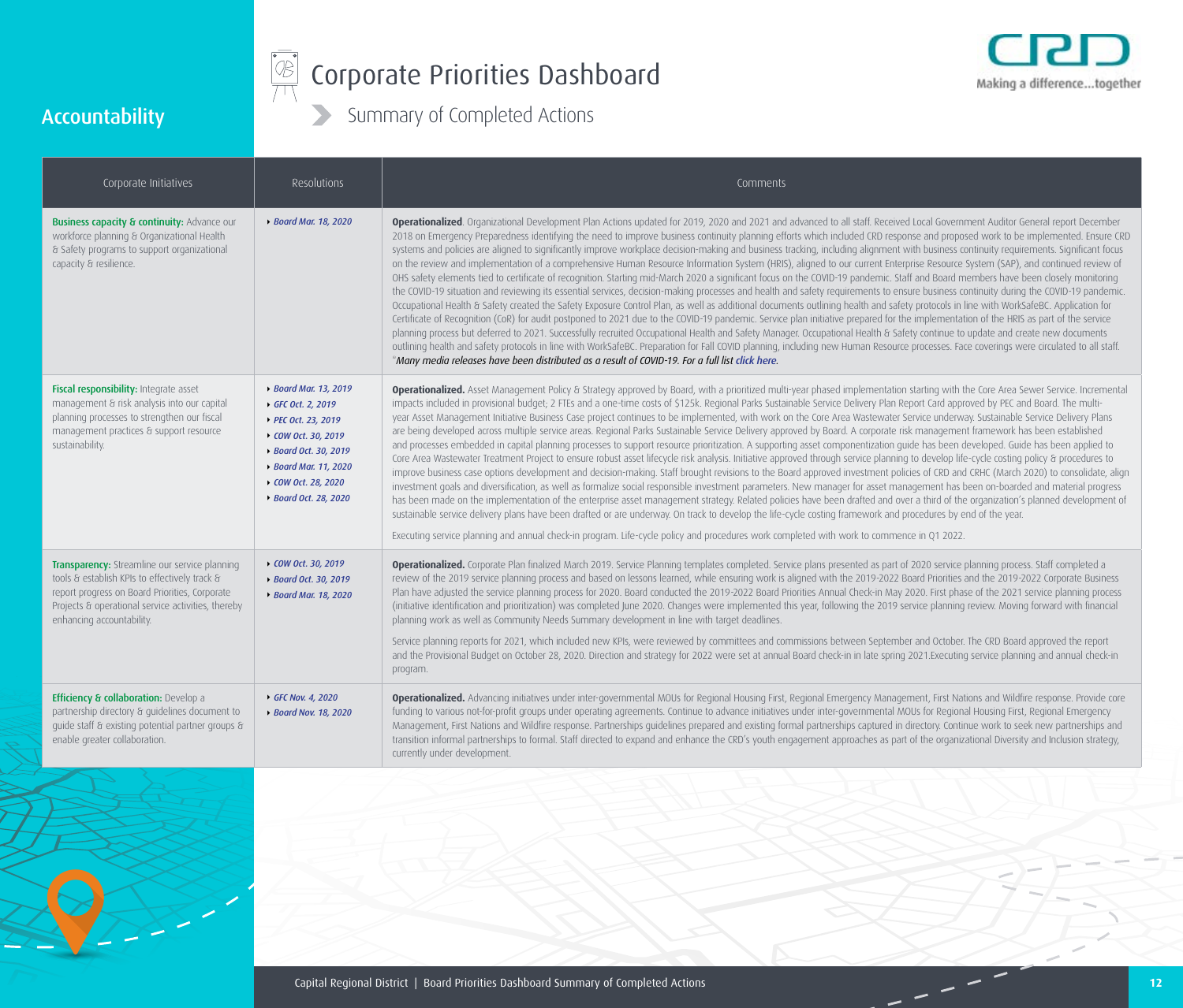

# Corporate Priorities Dashboard



### Accountability

| Corporate Initiatives                                                                                                                                                                                                               | Resolutions                                                                                                                                                                                 | Comments                                                                                                                                                                                                                                                                                                                                                                                                                                                                                                                                                                                                                                                                                                                                                                                                                                                                                                                                                                                                                                                                                                                                                                                                                                                                                                                                                                                                                                                                                                                                                                                                                                                                                                                                                                                                                                                                                                                                                                                                     |
|-------------------------------------------------------------------------------------------------------------------------------------------------------------------------------------------------------------------------------------|---------------------------------------------------------------------------------------------------------------------------------------------------------------------------------------------|--------------------------------------------------------------------------------------------------------------------------------------------------------------------------------------------------------------------------------------------------------------------------------------------------------------------------------------------------------------------------------------------------------------------------------------------------------------------------------------------------------------------------------------------------------------------------------------------------------------------------------------------------------------------------------------------------------------------------------------------------------------------------------------------------------------------------------------------------------------------------------------------------------------------------------------------------------------------------------------------------------------------------------------------------------------------------------------------------------------------------------------------------------------------------------------------------------------------------------------------------------------------------------------------------------------------------------------------------------------------------------------------------------------------------------------------------------------------------------------------------------------------------------------------------------------------------------------------------------------------------------------------------------------------------------------------------------------------------------------------------------------------------------------------------------------------------------------------------------------------------------------------------------------------------------------------------------------------------------------------------------------|
| <b>Business capacity &amp; continuity: Advance our</b><br>workforce planning & Organizational Health<br>& Safety programs to support organizational<br>capacity & resilience.                                                       | ▶ Board Mar. 18, 2020                                                                                                                                                                       | Operationalized. Organizational Development Plan Actions updated for 2019, 2020 and 2021 and advanced to all staff. Received Local Government Auditor General report December<br>2018 on Emergency Preparedness identifying the need to improve business continuity planning efforts which included CRD response and proposed work to be implemented. Ensure CRD<br>systems and policies are aligned to significantly improve workplace decision-making and business tracking, including alignment with business continuity requirements. Significant focus<br>on the review and implementation of a comprehensive Human Resource Information System (HRIS), aligned to our current Enterprise Resource System (SAP), and continued review of<br>OHS safety elements tied to certificate of recognition. Starting mid-March 2020 a significant focus on the COVID-19 pandemic. Staff and Board members have been closely monitoring<br>the COVID-19 situation and reviewing its essential services, decision-making processes and health and safety requirements to ensure business continuity during the COVID-19 pandemic.<br>Occupational Health & Safety created the Safety Exposure Control Plan, as well as additional documents outlining health and safety protocols in line with WorkSafeBC. Application for<br>Certificate of Recognition (CoR) for audit postponed to 2021 due to the COVID-19 pandemic. Service plan initiative prepared for the implementation of the HRIS as part of the service<br>planning process but deferred to 2021. Successfully recruited Occupational Health and Safety Manager. Occupational Health & Safety continue to update and create new documents<br>outlining health and safety protocols in line with WorkSafeBC. Preparation for Fall COVID planning, including new Human Resource processes. Face coverings were circulated to all staff.<br>*Many media releases have been distributed as a result of COVID-19. For a full list click here.              |
| Fiscal responsibility: Integrate asset<br>management & risk analysis into our capital<br>planning processes to strengthen our fiscal<br>management practices & support resource<br>sustainability.                                  | ▶ Board Mar. 13, 2019<br>▶ GFC Oct. 2, 2019<br>▶ PEC Oct. 23, 2019<br>▶ COW Oct. 30, 2019<br>▶ Board Oct. 30, 2019<br>▶ Board Mar. 11, 2020<br>▶ COW Oct. 28, 2020<br>▶ Board Oct. 28, 2020 | <b>Operationalized.</b> Asset Management Policy & Strategy approved by Board, with a prioritized multi-year phased implementation starting with the Core Area Sewer Service. Incremental<br>impacts included in provisional budget; 2 FTEs and a one-time costs of \$125k. Regional Parks Sustainable Service Delivery Plan Report Card approved by PEC and Board. The multi-<br>year Asset Management Initiative Business Case project continues to be implemented, with work on the Core Area Wastewater Service underway. Sustainable Service Delivery Plans<br>are being developed across multiple service areas. Regional Parks Sustainable Service Delivery approved by Board. A corporate risk management framework has been established<br>and processes embedded in capital planning processes to support resource prioritization. A supporting asset componentization guide has been developed. Guide has been applied to<br>Core Area Wastewater Treatment Project to ensure robust asset lifecycle risk analysis. Initiative approved through service planning to develop life-cycle costing policy & procedures to<br>improve business case options development and decision-making. Staff brought revisions to the Board approved investment policies of CRD and CRHC (March 2020) to consolidate, align<br>investment goals and diversification, as well as formalize social responsible investment parameters. New manager for asset management has been on-boarded and material progress<br>has been made on the implementation of the enterprise asset management strategy. Related policies have been drafted and over a third of the organization's planned development of<br>sustainable service delivery plans have been drafted or are underway. On track to develop the life-cycle costing framework and procedures by end of the year.<br>Executing service planning and annual check-in program. Life-cycle policy and procedures work completed with work to commence in Q1 2022. |
| Transparency: Streamline our service planning<br>tools & establish KPIs to effectively track &<br>report progress on Board Priorities, Corporate<br>Projects & operational service activities, thereby<br>enhancing accountability. | ▶ COW Oct. 30, 2019<br>▶ Board Oct. 30, 2019<br>▶ Board Mar. 18, 2020                                                                                                                       | Operationalized. Corporate Plan finalized March 2019. Service Planning templates completed. Service plans presented as part of 2020 service planning process. Staff completed a<br>review of the 2019 service planning process and based on lessons learned, while ensuring work is aligned with the 2019-2022 Board Priorities and the 2019-2022 Corporate Business<br>Plan have adjusted the service planning process for 2020. Board conducted the 2019-2022 Board Priorities Annual Check-in May 2020. First phase of the 2021 service planning process<br>(initiative identification and prioritization) was completed June 2020. Changes were implemented this year, following the 2019 service planning review. Moving forward with financial<br>planning work as well as Community Needs Summary development in line with target deadlines.<br>Service planning reports for 2021, which included new KPIs, were reviewed by committees and commissions between September and October. The CRD Board approved the report<br>and the Provisional Budget on October 28, 2020. Direction and strategy for 2022 were set at annual Board check-in in late spring 2021.Executing service planning and annual check-in<br>program.                                                                                                                                                                                                                                                                                                                                                                                                                                                                                                                                                                                                                                                                                                                                                                          |
| <b>Efficiency &amp; collaboration:</b> Develop a<br>partnership directory & quidelines document to<br>quide staff & existing potential partner groups &<br>enable greater collaboration.                                            | GFC Nov. 4, 2020<br>▶ Board Nov. 18, 2020                                                                                                                                                   | Operationalized. Advancing initiatives under inter-governmental MOUs for Regional Housing First, Regional Emergency Management, First Nations and Wildfire response. Provide core<br>funding to various not-for-profit groups under operating agreements. Continue to advance initiatives under inter-governmental MOUs for Regional Housing First, Regional Emergency<br>Management, First Nations and Wildfire response. Partnerships guidelines prepared and existing formal partnerships captured in directory. Continue work to seek new partnerships and<br>transition informal partnerships to formal. Staff directed to expand and enhance the CRD's youth engagement approaches as part of the organizational Diversity and Inclusion strategy,<br>currently under development.                                                                                                                                                                                                                                                                                                                                                                                                                                                                                                                                                                                                                                                                                                                                                                                                                                                                                                                                                                                                                                                                                                                                                                                                                     |
|                                                                                                                                                                                                                                     |                                                                                                                                                                                             |                                                                                                                                                                                                                                                                                                                                                                                                                                                                                                                                                                                                                                                                                                                                                                                                                                                                                                                                                                                                                                                                                                                                                                                                                                                                                                                                                                                                                                                                                                                                                                                                                                                                                                                                                                                                                                                                                                                                                                                                              |